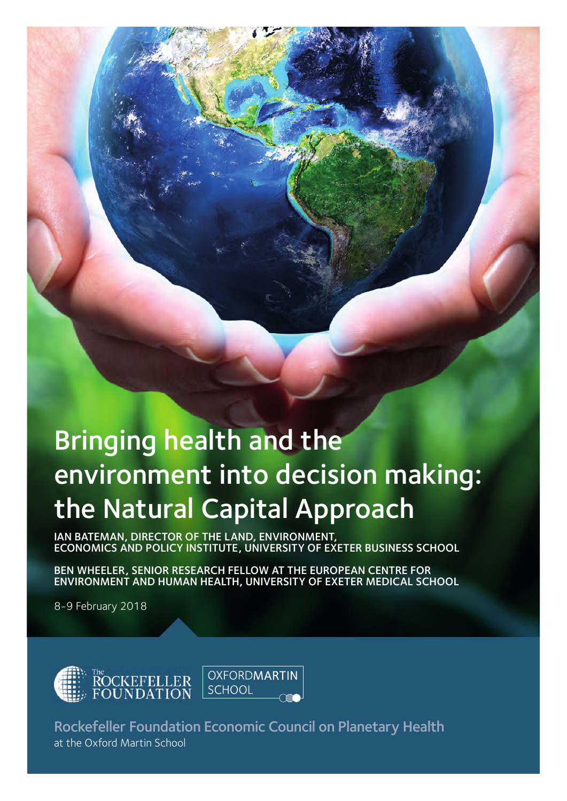# Bringing health and the environment into decision making: the Natural Capital Approach

BRINGING HEALTH AND THE NATURAL CAPITAL CAPITAL APPROACH ROCKEFELD APPROACH ROCKEFELD AND THE NATURAL CAPITAL CAPITAL CAPITAL CAPITAL CAPITAL CAPITAL CAPITAL CAPITAL CAPITAL CAPITAL CAPITAL CAPITAL CAPITAL CAPITAL CAPITAL

IAN BATEMAN, DIRECTOR OF THE LAND, ENVIRONMENT, ECONOMICS AND POLICY INSTITUTE, UNIVERSITY OF EXETER BUSINESS SCHOOL

BEN WHEELER, SENIOR RESEARCH FELLOW AT THE EUROPEAN CENTRE FOR ENVIRONMENT AND HUMAN HEALTH, UNIVERSITY OF EXETER MEDICAL SCHOOL

8-9 February 2018



Rockefeller Foundation Economic Council on Planetary Health at the Oxford Martin School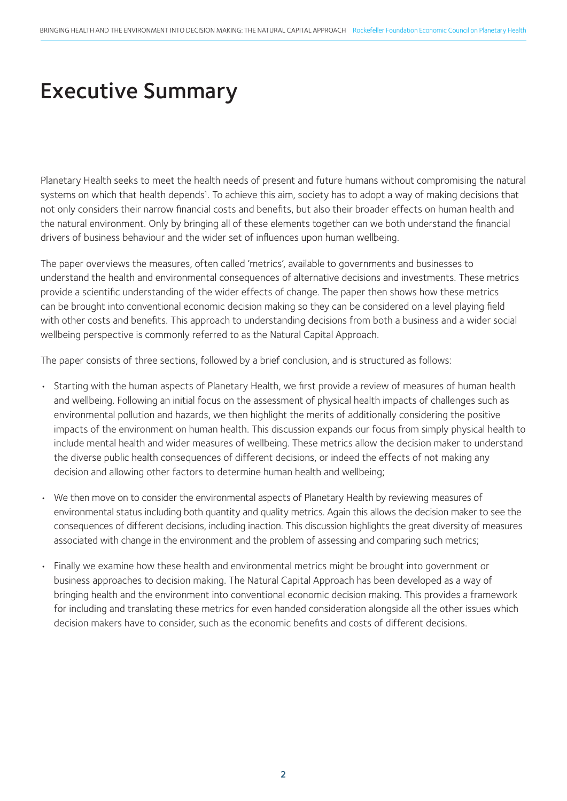## Executive Summary

Planetary Health seeks to meet the health needs of present and future humans without compromising the natural systems on which that health depends<sup>1</sup>. To achieve this aim, society has to adopt a way of making decisions that not only considers their narrow financial costs and benefits, but also their broader effects on human health and the natural environment. Only by bringing all of these elements together can we both understand the financial drivers of business behaviour and the wider set of influences upon human wellbeing.

The paper overviews the measures, often called 'metrics', available to governments and businesses to understand the health and environmental consequences of alternative decisions and investments. These metrics provide a scientific understanding of the wider effects of change. The paper then shows how these metrics can be brought into conventional economic decision making so they can be considered on a level playing field with other costs and benefits. This approach to understanding decisions from both a business and a wider social wellbeing perspective is commonly referred to as the Natural Capital Approach.

The paper consists of three sections, followed by a brief conclusion, and is structured as follows:

- Starting with the human aspects of Planetary Health, we first provide a review of measures of human health and wellbeing. Following an initial focus on the assessment of physical health impacts of challenges such as environmental pollution and hazards, we then highlight the merits of additionally considering the positive impacts of the environment on human health. This discussion expands our focus from simply physical health to include mental health and wider measures of wellbeing. These metrics allow the decision maker to understand the diverse public health consequences of different decisions, or indeed the effects of not making any decision and allowing other factors to determine human health and wellbeing;
- We then move on to consider the environmental aspects of Planetary Health by reviewing measures of environmental status including both quantity and quality metrics. Again this allows the decision maker to see the consequences of different decisions, including inaction. This discussion highlights the great diversity of measures associated with change in the environment and the problem of assessing and comparing such metrics;
- Finally we examine how these health and environmental metrics might be brought into government or business approaches to decision making. The Natural Capital Approach has been developed as a way of bringing health and the environment into conventional economic decision making. This provides a framework for including and translating these metrics for even handed consideration alongside all the other issues which decision makers have to consider, such as the economic benefits and costs of different decisions.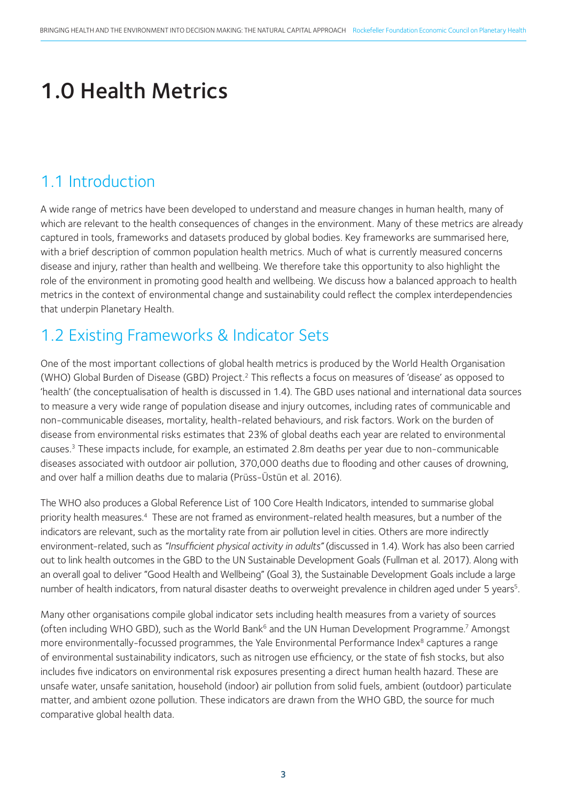# 1.0 Health Metrics

#### 1.1 Introduction

A wide range of metrics have been developed to understand and measure changes in human health, many of which are relevant to the health consequences of changes in the environment. Many of these metrics are already captured in tools, frameworks and datasets produced by global bodies. Key frameworks are summarised here, with a brief description of common population health metrics. Much of what is currently measured concerns disease and injury, rather than health and wellbeing. We therefore take this opportunity to also highlight the role of the environment in promoting good health and wellbeing. We discuss how a balanced approach to health metrics in the context of environmental change and sustainability could reflect the complex interdependencies that underpin Planetary Health.

### 1.2 Existing Frameworks & Indicator Sets

One of the most important collections of global health metrics is produced by the World Health Organisation (WHO) Global Burden of Disease (GBD) Project.2 This reflects a focus on measures of 'disease' as opposed to 'health' (the conceptualisation of health is discussed in 1.4). The GBD uses national and international data sources to measure a very wide range of population disease and injury outcomes, including rates of communicable and non-communicable diseases, mortality, health-related behaviours, and risk factors. Work on the burden of disease from environmental risks estimates that 23% of global deaths each year are related to environmental causes.3 These impacts include, for example, an estimated 2.8m deaths per year due to non-communicable diseases associated with outdoor air pollution, 370,000 deaths due to flooding and other causes of drowning, and over half a million deaths due to malaria (Prüss-Üstün et al. 2016).

The WHO also produces a Global Reference List of 100 Core Health Indicators, intended to summarise global priority health measures.4 These are not framed as environment-related health measures, but a number of the indicators are relevant, such as the mortality rate from air pollution level in cities. Others are more indirectly environment-related, such as *"Insufficient physical activity in adults"* (discussed in 1.4). Work has also been carried out to link health outcomes in the GBD to the UN Sustainable Development Goals (Fullman et al. 2017). Along with an overall goal to deliver "Good Health and Wellbeing" (Goal 3), the Sustainable Development Goals include a large number of health indicators, from natural disaster deaths to overweight prevalence in children aged under 5 years<sup>5</sup>.

Many other organisations compile global indicator sets including health measures from a variety of sources (often including WHO GBD), such as the World Bank<sup>6</sup> and the UN Human Development Programme.<sup>7</sup> Amongst more environmentally-focussed programmes, the Yale Environmental Performance Index<sup>8</sup> captures a range of environmental sustainability indicators, such as nitrogen use efficiency, or the state of fish stocks, but also includes five indicators on environmental risk exposures presenting a direct human health hazard. These are unsafe water, unsafe sanitation, household (indoor) air pollution from solid fuels, ambient (outdoor) particulate matter, and ambient ozone pollution. These indicators are drawn from the WHO GBD, the source for much comparative global health data.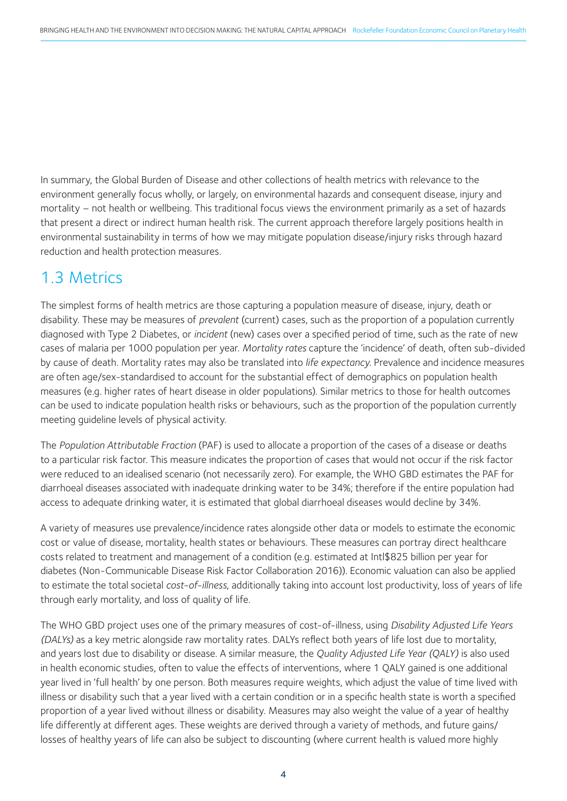In summary, the Global Burden of Disease and other collections of health metrics with relevance to the environment generally focus wholly, or largely, on environmental hazards and consequent disease, injury and mortality – not health or wellbeing. This traditional focus views the environment primarily as a set of hazards that present a direct or indirect human health risk. The current approach therefore largely positions health in environmental sustainability in terms of how we may mitigate population disease/injury risks through hazard reduction and health protection measures.

#### 1.3 Metrics

The simplest forms of health metrics are those capturing a population measure of disease, injury, death or disability. These may be measures of *prevalent* (current) cases, such as the proportion of a population currently diagnosed with Type 2 Diabetes, or *incident* (new) cases over a specified period of time, such as the rate of new cases of malaria per 1000 population per year. *Mortality rates* capture the 'incidence' of death, often sub-divided by cause of death. Mortality rates may also be translated into *life expectancy*. Prevalence and incidence measures are often age/sex-standardised to account for the substantial effect of demographics on population health measures (e.g. higher rates of heart disease in older populations). Similar metrics to those for health outcomes can be used to indicate population health risks or behaviours, such as the proportion of the population currently meeting guideline levels of physical activity.

The *Population Attributable Fraction* (PAF) is used to allocate a proportion of the cases of a disease or deaths to a particular risk factor. This measure indicates the proportion of cases that would not occur if the risk factor were reduced to an idealised scenario (not necessarily zero). For example, the WHO GBD estimates the PAF for diarrhoeal diseases associated with inadequate drinking water to be 34%; therefore if the entire population had access to adequate drinking water, it is estimated that global diarrhoeal diseases would decline by 34%.

A variety of measures use prevalence/incidence rates alongside other data or models to estimate the economic cost or value of disease, mortality, health states or behaviours. These measures can portray direct healthcare costs related to treatment and management of a condition (e.g. estimated at Intl\$825 billion per year for diabetes (Non-Communicable Disease Risk Factor Collaboration 2016)). Economic valuation can also be applied to estimate the total societal *cost-of-illness*, additionally taking into account lost productivity, loss of years of life through early mortality, and loss of quality of life.

The WHO GBD project uses one of the primary measures of cost-of-illness, using *Disability Adjusted Life Years (DALYs)* as a key metric alongside raw mortality rates. DALYs reflect both years of life lost due to mortality, and years lost due to disability or disease. A similar measure, the *Quality Adjusted Life Year (QALY)* is also used in health economic studies, often to value the effects of interventions, where 1 QALY gained is one additional year lived in 'full health' by one person. Both measures require weights, which adjust the value of time lived with illness or disability such that a year lived with a certain condition or in a specific health state is worth a specified proportion of a year lived without illness or disability. Measures may also weight the value of a year of healthy life differently at different ages. These weights are derived through a variety of methods, and future gains/ losses of healthy years of life can also be subject to discounting (where current health is valued more highly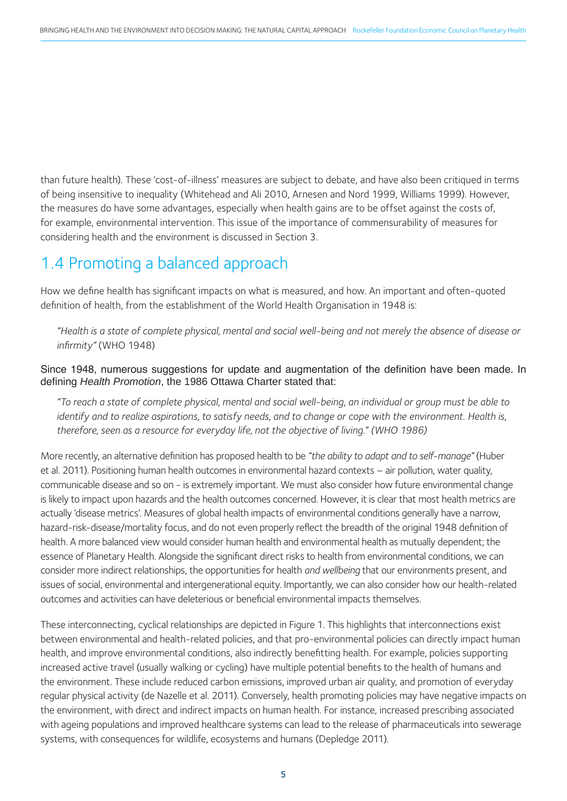than future health). These 'cost-of-illness' measures are subject to debate, and have also been critiqued in terms of being insensitive to inequality (Whitehead and Ali 2010, Arnesen and Nord 1999, Williams 1999). However, the measures do have some advantages, especially when health gains are to be offset against the costs of, for example, environmental intervention. This issue of the importance of commensurability of measures for considering health and the environment is discussed in Section 3.

#### 1.4 Promoting a balanced approach

How we define health has significant impacts on what is measured, and how. An important and often-quoted definition of health, from the establishment of the World Health Organisation in 1948 is:

*"Health is a state of complete physical, mental and social well-being and not merely the absence of disease or infirmity"* (WHO 1948)

Since 1948, numerous suggestions for update and augmentation of the definition have been made. In defining *Health Promotion*, the 1986 Ottawa Charter stated that:

*"To reach a state of complete physical, mental and social well-being, an individual or group must be able to identify and to realize aspirations, to satisfy needs, and to change or cope with the environment. Health is, therefore, seen as a resource for everyday life, not the objective of living." (WHO 1986)*

More recently, an alternative definition has proposed health to be *"the ability to adapt and to self-manage"* (Huber et al. 2011). Positioning human health outcomes in environmental hazard contexts – air pollution, water quality, communicable disease and so on - is extremely important. We must also consider how future environmental change is likely to impact upon hazards and the health outcomes concerned. However, it is clear that most health metrics are actually 'disease metrics'. Measures of global health impacts of environmental conditions generally have a narrow, hazard-risk-disease/mortality focus, and do not even properly reflect the breadth of the original 1948 definition of health. A more balanced view would consider human health and environmental health as mutually dependent; the essence of Planetary Health. Alongside the significant direct risks to health from environmental conditions, we can consider more indirect relationships, the opportunities for health *and wellbeing* that our environments present, and issues of social, environmental and intergenerational equity. Importantly, we can also consider how our health-related outcomes and activities can have deleterious or beneficial environmental impacts themselves.

These interconnecting, cyclical relationships are depicted in Figure 1. This highlights that interconnections exist between environmental and health-related policies, and that pro-environmental policies can directly impact human health, and improve environmental conditions, also indirectly benefitting health. For example, policies supporting increased active travel (usually walking or cycling) have multiple potential benefits to the health of humans and the environment. These include reduced carbon emissions, improved urban air quality, and promotion of everyday regular physical activity (de Nazelle et al. 2011). Conversely, health promoting policies may have negative impacts on the environment, with direct and indirect impacts on human health. For instance, increased prescribing associated with ageing populations and improved healthcare systems can lead to the release of pharmaceuticals into sewerage systems, with consequences for wildlife, ecosystems and humans (Depledge 2011).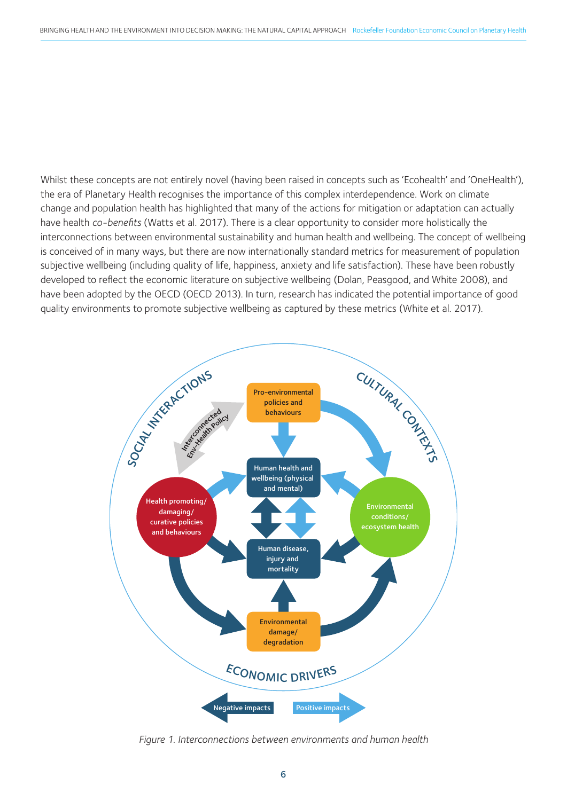Whilst these concepts are not entirely novel (having been raised in concepts such as 'Ecohealth' and 'OneHealth'), the era of Planetary Health recognises the importance of this complex interdependence. Work on climate change and population health has highlighted that many of the actions for mitigation or adaptation can actually have health *co-benefits* (Watts et al. 2017). There is a clear opportunity to consider more holistically the interconnections between environmental sustainability and human health and wellbeing. The concept of wellbeing is conceived of in many ways, but there are now internationally standard metrics for measurement of population subjective wellbeing (including quality of life, happiness, anxiety and life satisfaction). These have been robustly developed to reflect the economic literature on subjective wellbeing (Dolan, Peasgood, and White 2008), and have been adopted by the OECD (OECD 2013). In turn, research has indicated the potential importance of good quality environments to promote subjective wellbeing as captured by these metrics (White et al. 2017).



*Figure 1. Interconnections between environments and human health*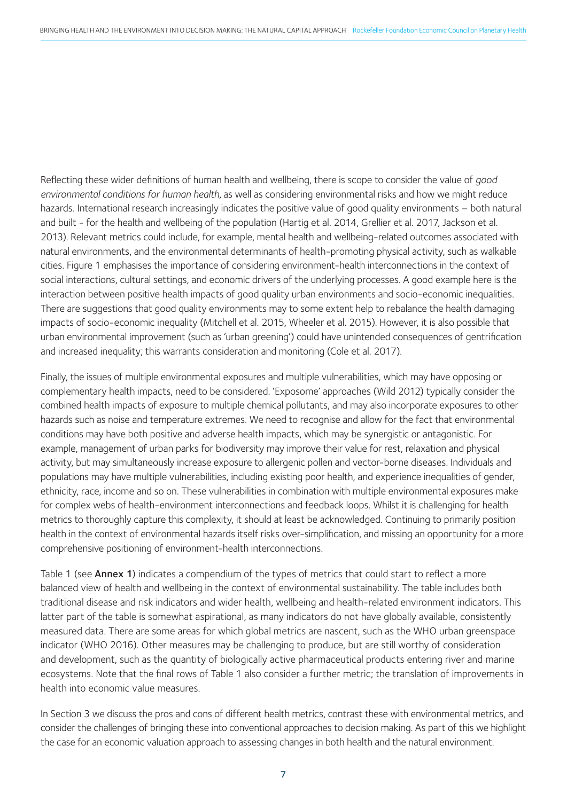Reflecting these wider definitions of human health and wellbeing, there is scope to consider the value of *good environmental conditions for human health,* as well as considering environmental risks and how we might reduce hazards. International research increasingly indicates the positive value of good quality environments – both natural and built - for the health and wellbeing of the population (Hartig et al. 2014, Grellier et al. 2017, Jackson et al. 2013). Relevant metrics could include, for example, mental health and wellbeing-related outcomes associated with natural environments, and the environmental determinants of health-promoting physical activity, such as walkable cities. Figure 1 emphasises the importance of considering environment-health interconnections in the context of social interactions, cultural settings, and economic drivers of the underlying processes. A good example here is the interaction between positive health impacts of good quality urban environments and socio-economic inequalities. There are suggestions that good quality environments may to some extent help to rebalance the health damaging impacts of socio-economic inequality (Mitchell et al. 2015, Wheeler et al. 2015). However, it is also possible that urban environmental improvement (such as 'urban greening') could have unintended consequences of gentrification and increased inequality; this warrants consideration and monitoring (Cole et al. 2017).

Finally, the issues of multiple environmental exposures and multiple vulnerabilities, which may have opposing or complementary health impacts, need to be considered. 'Exposome' approaches (Wild 2012) typically consider the combined health impacts of exposure to multiple chemical pollutants, and may also incorporate exposures to other hazards such as noise and temperature extremes. We need to recognise and allow for the fact that environmental conditions may have both positive and adverse health impacts, which may be synergistic or antagonistic. For example, management of urban parks for biodiversity may improve their value for rest, relaxation and physical activity, but may simultaneously increase exposure to allergenic pollen and vector-borne diseases. Individuals and populations may have multiple vulnerabilities, including existing poor health, and experience inequalities of gender, ethnicity, race, income and so on. These vulnerabilities in combination with multiple environmental exposures make for complex webs of health-environment interconnections and feedback loops. Whilst it is challenging for health metrics to thoroughly capture this complexity, it should at least be acknowledged. Continuing to primarily position health in the context of environmental hazards itself risks over-simplification, and missing an opportunity for a more comprehensive positioning of environment-health interconnections.

Table 1 (see **Annex 1**) indicates a compendium of the types of metrics that could start to reflect a more balanced view of health and wellbeing in the context of environmental sustainability. The table includes both traditional disease and risk indicators and wider health, wellbeing and health-related environment indicators. This latter part of the table is somewhat aspirational, as many indicators do not have globally available, consistently measured data. There are some areas for which global metrics are nascent, such as the WHO urban greenspace indicator (WHO 2016). Other measures may be challenging to produce, but are still worthy of consideration and development, such as the quantity of biologically active pharmaceutical products entering river and marine ecosystems. Note that the final rows of Table 1 also consider a further metric; the translation of improvements in health into economic value measures.

In Section 3 we discuss the pros and cons of different health metrics, contrast these with environmental metrics, and consider the challenges of bringing these into conventional approaches to decision making. As part of this we highlight the case for an economic valuation approach to assessing changes in both health and the natural environment.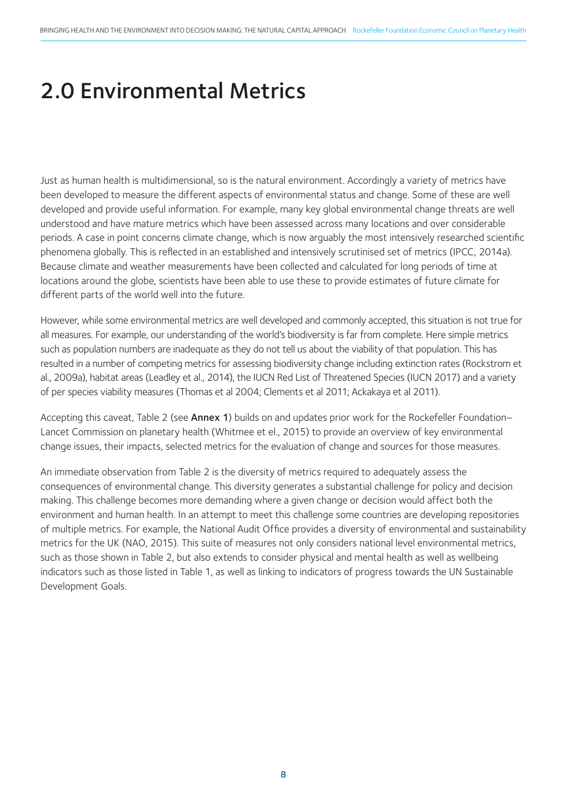## 2.0 Environmental Metrics

Just as human health is multidimensional, so is the natural environment. Accordingly a variety of metrics have been developed to measure the different aspects of environmental status and change. Some of these are well developed and provide useful information. For example, many key global environmental change threats are well understood and have mature metrics which have been assessed across many locations and over considerable periods. A case in point concerns climate change, which is now arguably the most intensively researched scientific phenomena globally. This is reflected in an established and intensively scrutinised set of metrics (IPCC, 2014a). Because climate and weather measurements have been collected and calculated for long periods of time at locations around the globe, scientists have been able to use these to provide estimates of future climate for different parts of the world well into the future.

However, while some environmental metrics are well developed and commonly accepted, this situation is not true for all measures. For example, our understanding of the world's biodiversity is far from complete. Here simple metrics such as population numbers are inadequate as they do not tell us about the viability of that population. This has resulted in a number of competing metrics for assessing biodiversity change including extinction rates (Rockstrom et al., 2009a), habitat areas (Leadley et al., 2014), the IUCN Red List of Threatened Species (IUCN 2017) and a variety of per species viability measures (Thomas et al 2004; Clements et al 2011; Ackakaya et al 2011).

Accepting this caveat, Table 2 (see Annex 1) builds on and updates prior work for the Rockefeller Foundation– Lancet Commission on planetary health (Whitmee et el., 2015) to provide an overview of key environmental change issues, their impacts, selected metrics for the evaluation of change and sources for those measures.

An immediate observation from Table 2 is the diversity of metrics required to adequately assess the consequences of environmental change. This diversity generates a substantial challenge for policy and decision making. This challenge becomes more demanding where a given change or decision would affect both the environment and human health. In an attempt to meet this challenge some countries are developing repositories of multiple metrics. For example, the National Audit Office provides a diversity of environmental and sustainability metrics for the UK (NAO, 2015). This suite of measures not only considers national level environmental metrics, such as those shown in Table 2, but also extends to consider physical and mental health as well as wellbeing indicators such as those listed in Table 1, as well as linking to indicators of progress towards the UN Sustainable Development Goals.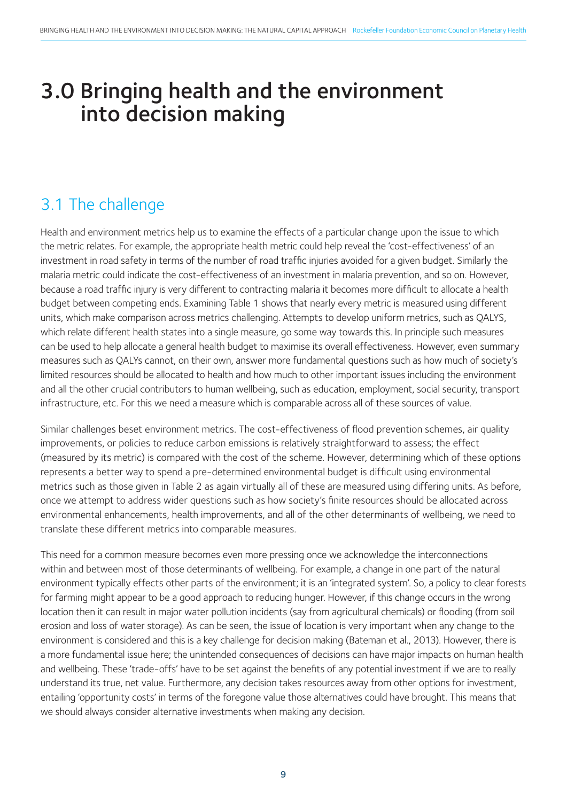### 3.0 Bringing health and the environment into decision making

### 3.1 The challenge

Health and environment metrics help us to examine the effects of a particular change upon the issue to which the metric relates. For example, the appropriate health metric could help reveal the 'cost-effectiveness' of an investment in road safety in terms of the number of road traffic injuries avoided for a given budget. Similarly the malaria metric could indicate the cost-effectiveness of an investment in malaria prevention, and so on. However, because a road traffic injury is very different to contracting malaria it becomes more difficult to allocate a health budget between competing ends. Examining Table 1 shows that nearly every metric is measured using different units, which make comparison across metrics challenging. Attempts to develop uniform metrics, such as QALYS, which relate different health states into a single measure, go some way towards this. In principle such measures can be used to help allocate a general health budget to maximise its overall effectiveness. However, even summary measures such as QALYs cannot, on their own, answer more fundamental questions such as how much of society's limited resources should be allocated to health and how much to other important issues including the environment and all the other crucial contributors to human wellbeing, such as education, employment, social security, transport infrastructure, etc. For this we need a measure which is comparable across all of these sources of value.

Similar challenges beset environment metrics. The cost-effectiveness of flood prevention schemes, air quality improvements, or policies to reduce carbon emissions is relatively straightforward to assess; the effect (measured by its metric) is compared with the cost of the scheme. However, determining which of these options represents a better way to spend a pre-determined environmental budget is difficult using environmental metrics such as those given in Table 2 as again virtually all of these are measured using differing units. As before, once we attempt to address wider questions such as how society's finite resources should be allocated across environmental enhancements, health improvements, and all of the other determinants of wellbeing, we need to translate these different metrics into comparable measures.

This need for a common measure becomes even more pressing once we acknowledge the interconnections within and between most of those determinants of wellbeing. For example, a change in one part of the natural environment typically effects other parts of the environment; it is an 'integrated system'. So, a policy to clear forests for farming might appear to be a good approach to reducing hunger. However, if this change occurs in the wrong location then it can result in major water pollution incidents (say from agricultural chemicals) or flooding (from soil erosion and loss of water storage). As can be seen, the issue of location is very important when any change to the environment is considered and this is a key challenge for decision making (Bateman et al., 2013). However, there is a more fundamental issue here; the unintended consequences of decisions can have major impacts on human health and wellbeing. These 'trade-offs' have to be set against the benefits of any potential investment if we are to really understand its true, net value. Furthermore, any decision takes resources away from other options for investment, entailing 'opportunity costs' in terms of the foregone value those alternatives could have brought. This means that we should always consider alternative investments when making any decision.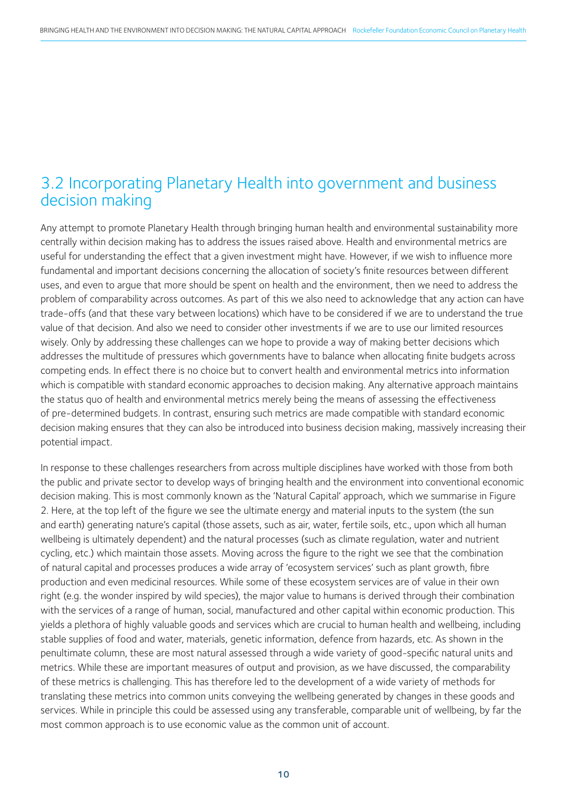#### 3.2 Incorporating Planetary Health into government and business decision making

Any attempt to promote Planetary Health through bringing human health and environmental sustainability more centrally within decision making has to address the issues raised above. Health and environmental metrics are useful for understanding the effect that a given investment might have. However, if we wish to influence more fundamental and important decisions concerning the allocation of society's finite resources between different uses, and even to argue that more should be spent on health and the environment, then we need to address the problem of comparability across outcomes. As part of this we also need to acknowledge that any action can have trade-offs (and that these vary between locations) which have to be considered if we are to understand the true value of that decision. And also we need to consider other investments if we are to use our limited resources wisely. Only by addressing these challenges can we hope to provide a way of making better decisions which addresses the multitude of pressures which governments have to balance when allocating finite budgets across competing ends. In effect there is no choice but to convert health and environmental metrics into information which is compatible with standard economic approaches to decision making. Any alternative approach maintains the status quo of health and environmental metrics merely being the means of assessing the effectiveness of pre-determined budgets. In contrast, ensuring such metrics are made compatible with standard economic decision making ensures that they can also be introduced into business decision making, massively increasing their potential impact.

In response to these challenges researchers from across multiple disciplines have worked with those from both the public and private sector to develop ways of bringing health and the environment into conventional economic decision making. This is most commonly known as the 'Natural Capital' approach, which we summarise in Figure 2. Here, at the top left of the figure we see the ultimate energy and material inputs to the system (the sun and earth) generating nature's capital (those assets, such as air, water, fertile soils, etc., upon which all human wellbeing is ultimately dependent) and the natural processes (such as climate regulation, water and nutrient cycling, etc.) which maintain those assets. Moving across the figure to the right we see that the combination of natural capital and processes produces a wide array of 'ecosystem services' such as plant growth, fibre production and even medicinal resources. While some of these ecosystem services are of value in their own right (e.g. the wonder inspired by wild species), the major value to humans is derived through their combination with the services of a range of human, social, manufactured and other capital within economic production. This yields a plethora of highly valuable goods and services which are crucial to human health and wellbeing, including stable supplies of food and water, materials, genetic information, defence from hazards, etc. As shown in the penultimate column, these are most natural assessed through a wide variety of good-specific natural units and metrics. While these are important measures of output and provision, as we have discussed, the comparability of these metrics is challenging. This has therefore led to the development of a wide variety of methods for translating these metrics into common units conveying the wellbeing generated by changes in these goods and services. While in principle this could be assessed using any transferable, comparable unit of wellbeing, by far the most common approach is to use economic value as the common unit of account.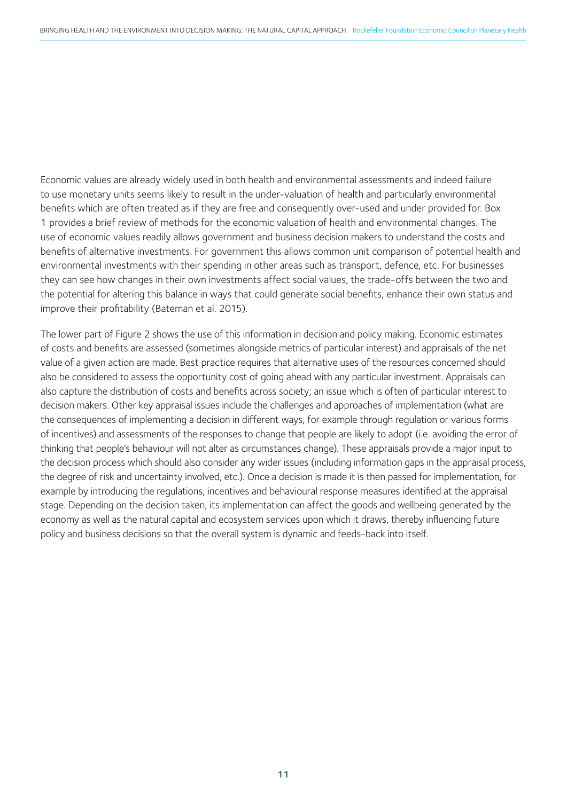Economic values are already widely used in both health and environmental assessments and indeed failure to use monetary units seems likely to result in the under-valuation of health and particularly environmental benefits which are often treated as if they are free and consequently over-used and under provided for. Box 1 provides a brief review of methods for the economic valuation of health and environmental changes. The use of economic values readily allows government and business decision makers to understand the costs and benefits of alternative investments. For government this allows common unit comparison of potential health and environmental investments with their spending in other areas such as transport, defence, etc. For businesses they can see how changes in their own investments affect social values, the trade-offs between the two and the potential for altering this balance in ways that could generate social benefits, enhance their own status and improve their profitability (Bateman et al. 2015).

The lower part of Figure 2 shows the use of this information in decision and policy making. Economic estimates of costs and benefits are assessed (sometimes alongside metrics of particular interest) and appraisals of the net value of a given action are made. Best practice requires that alternative uses of the resources concerned should also be considered to assess the opportunity cost of going ahead with any particular investment. Appraisals can also capture the distribution of costs and benefits across society; an issue which is often of particular interest to decision makers. Other key appraisal issues include the challenges and approaches of implementation (what are the consequences of implementing a decision in different ways, for example through regulation or various forms of incentives) and assessments of the responses to change that people are likely to adopt (i.e. avoiding the error of thinking that people's behaviour will not alter as circumstances change). These appraisals provide a major input to the decision process which should also consider any wider issues (including information gaps in the appraisal process, the degree of risk and uncertainty involved, etc.). Once a decision is made it is then passed for implementation, for example by introducing the regulations, incentives and behavioural response measures identified at the appraisal stage. Depending on the decision taken, its implementation can affect the goods and wellbeing generated by the economy as well as the natural capital and ecosystem services upon which it draws, thereby influencing future policy and business decisions so that the overall system is dynamic and feeds-back into itself.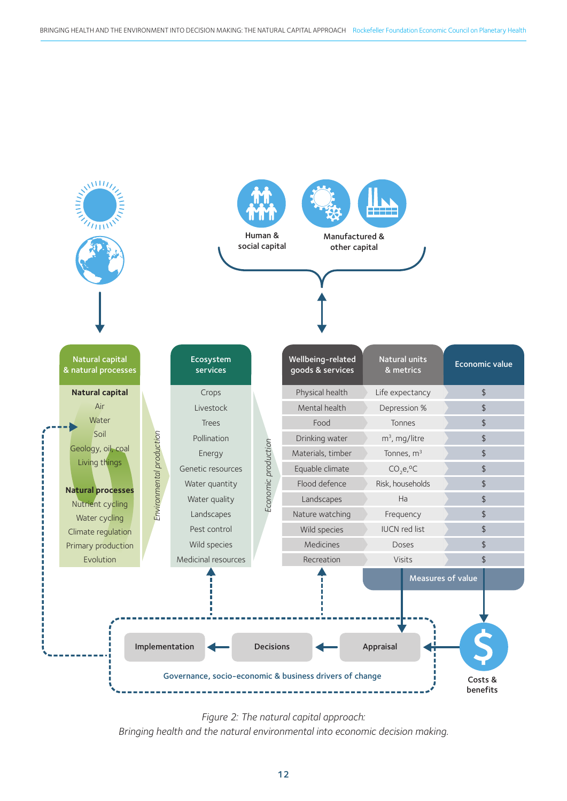

*Figure 2: The natural capital approach: Bringing health and the natural environmental into economic decision making.*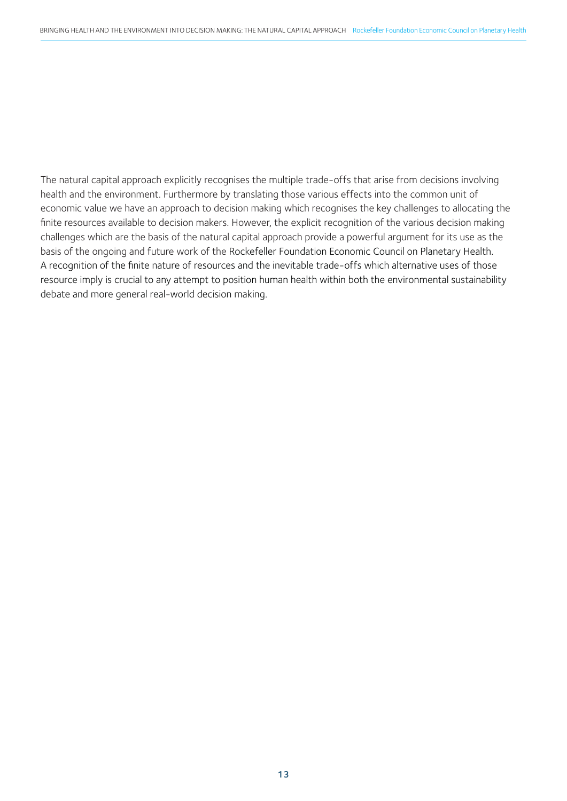The natural capital approach explicitly recognises the multiple trade-offs that arise from decisions involving health and the environment. Furthermore by translating those various effects into the common unit of economic value we have an approach to decision making which recognises the key challenges to allocating the finite resources available to decision makers. However, the explicit recognition of the various decision making challenges which are the basis of the natural capital approach provide a powerful argument for its use as the basis of the ongoing and future work of the Rockefeller Foundation Economic Council on Planetary Health. A recognition of the finite nature of resources and the inevitable trade-offs which alternative uses of those resource imply is crucial to any attempt to position human health within both the environmental sustainability debate and more general real-world decision making.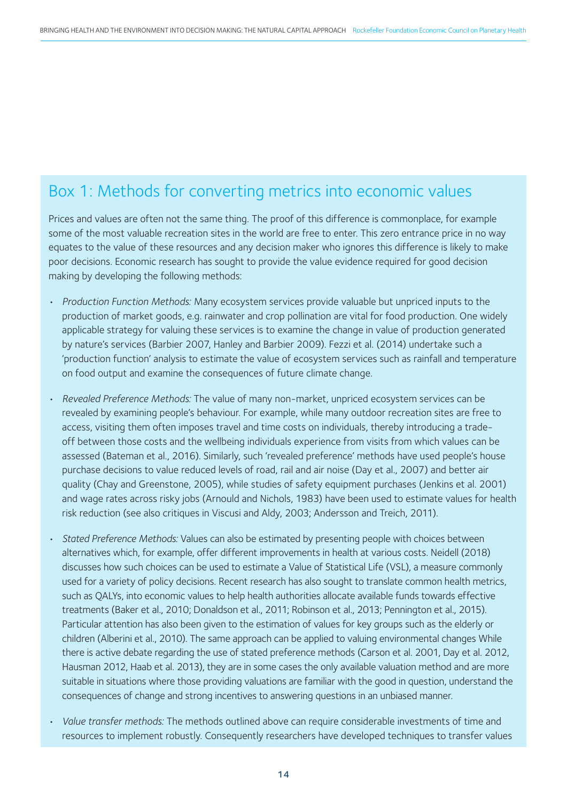#### Box 1: Methods for converting metrics into economic values

Prices and values are often not the same thing. The proof of this difference is commonplace, for example some of the most valuable recreation sites in the world are free to enter. This zero entrance price in no way equates to the value of these resources and any decision maker who ignores this difference is likely to make poor decisions. Economic research has sought to provide the value evidence required for good decision making by developing the following methods:

- *Production Function Methods:* Many ecosystem services provide valuable but unpriced inputs to the production of market goods, e.g. rainwater and crop pollination are vital for food production. One widely applicable strategy for valuing these services is to examine the change in value of production generated by nature's services (Barbier 2007, Hanley and Barbier 2009). Fezzi et al. (2014) undertake such a 'production function' analysis to estimate the value of ecosystem services such as rainfall and temperature on food output and examine the consequences of future climate change.
- *Revealed Preference Methods:* The value of many non-market, unpriced ecosystem services can be revealed by examining people's behaviour. For example, while many outdoor recreation sites are free to access, visiting them often imposes travel and time costs on individuals, thereby introducing a tradeoff between those costs and the wellbeing individuals experience from visits from which values can be assessed (Bateman et al., 2016). Similarly, such 'revealed preference' methods have used people's house purchase decisions to value reduced levels of road, rail and air noise (Day et al., 2007) and better air quality (Chay and Greenstone, 2005), while studies of safety equipment purchases (Jenkins et al. 2001) and wage rates across risky jobs (Arnould and Nichols, 1983) have been used to estimate values for health risk reduction (see also critiques in Viscusi and Aldy, 2003; Andersson and Treich, 2011).
- *Stated Preference Methods:* Values can also be estimated by presenting people with choices between alternatives which, for example, offer different improvements in health at various costs. Neidell (2018) discusses how such choices can be used to estimate a Value of Statistical Life (VSL), a measure commonly used for a variety of policy decisions. Recent research has also sought to translate common health metrics, such as QALYs, into economic values to help health authorities allocate available funds towards effective treatments (Baker et al., 2010; Donaldson et al., 2011; Robinson et al., 2013; Pennington et al., 2015). Particular attention has also been given to the estimation of values for key groups such as the elderly or children (Alberini et al., 2010). The same approach can be applied to valuing environmental changes While there is active debate regarding the use of stated preference methods (Carson et al. 2001, Day et al. 2012, Hausman 2012, Haab et al. 2013), they are in some cases the only available valuation method and are more suitable in situations where those providing valuations are familiar with the good in question, understand the consequences of change and strong incentives to answering questions in an unbiased manner.
- *Value transfer methods:* The methods outlined above can require considerable investments of time and resources to implement robustly. Consequently researchers have developed techniques to transfer values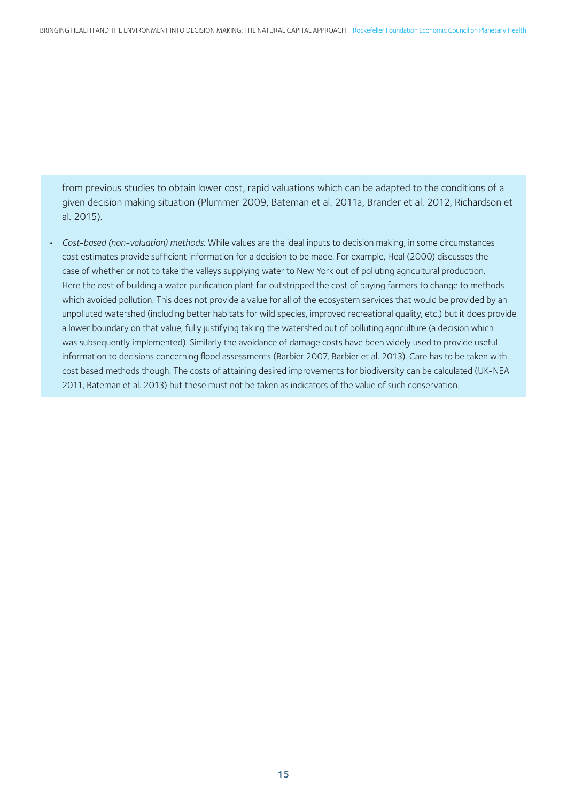from previous studies to obtain lower cost, rapid valuations which can be adapted to the conditions of a given decision making situation (Plummer 2009, Bateman et al. 2011a, Brander et al. 2012, Richardson et al. 2015).

• *Cost-based (non-valuation) methods:* While values are the ideal inputs to decision making, in some circumstances cost estimates provide sufficient information for a decision to be made. For example, Heal (2000) discusses the case of whether or not to take the valleys supplying water to New York out of polluting agricultural production. Here the cost of building a water purification plant far outstripped the cost of paying farmers to change to methods which avoided pollution. This does not provide a value for all of the ecosystem services that would be provided by an unpolluted watershed (including better habitats for wild species, improved recreational quality, etc.) but it does provide a lower boundary on that value, fully justifying taking the watershed out of polluting agriculture (a decision which was subsequently implemented). Similarly the avoidance of damage costs have been widely used to provide useful information to decisions concerning flood assessments (Barbier 2007, Barbier et al. 2013). Care has to be taken with cost based methods though. The costs of attaining desired improvements for biodiversity can be calculated (UK-NEA 2011, Bateman et al. 2013) but these must not be taken as indicators of the value of such conservation.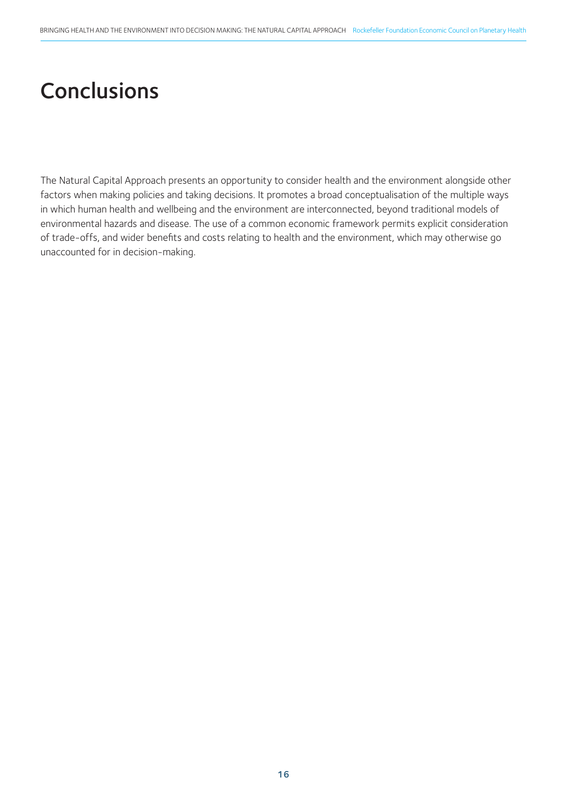## **Conclusions**

The Natural Capital Approach presents an opportunity to consider health and the environment alongside other factors when making policies and taking decisions. It promotes a broad conceptualisation of the multiple ways in which human health and wellbeing and the environment are interconnected, beyond traditional models of environmental hazards and disease. The use of a common economic framework permits explicit consideration of trade-offs, and wider benefits and costs relating to health and the environment, which may otherwise go unaccounted for in decision-making.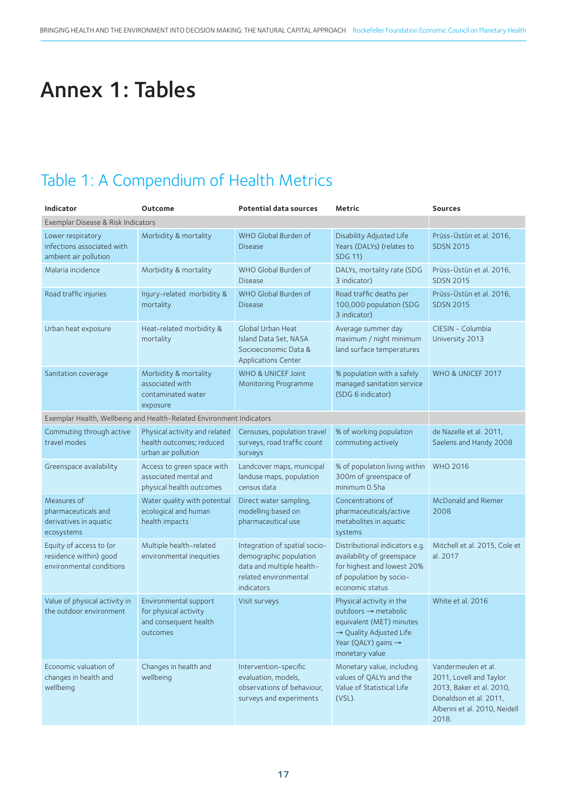# Annex 1: Tables

### Table 1: A Compendium of Health Metrics

| <b>Indicator</b>                                                              | Outcome                                                                             | <b>Potential data sources</b>                                                                                               | Metric                                                                                                                                                                   | <b>Sources</b>                                                                                                                                 |  |  |
|-------------------------------------------------------------------------------|-------------------------------------------------------------------------------------|-----------------------------------------------------------------------------------------------------------------------------|--------------------------------------------------------------------------------------------------------------------------------------------------------------------------|------------------------------------------------------------------------------------------------------------------------------------------------|--|--|
| Exemplar Disease & Risk Indicators                                            |                                                                                     |                                                                                                                             |                                                                                                                                                                          |                                                                                                                                                |  |  |
| Lower respiratory<br>infections associated with<br>ambient air pollution      | Morbidity & mortality                                                               | WHO Global Burden of<br><b>Disease</b>                                                                                      | Disability Adjusted Life<br>Years (DALYs) (relates to<br><b>SDG 11)</b>                                                                                                  | Prüss-Üstün et al. 2016,<br><b>SDSN 2015</b>                                                                                                   |  |  |
| Malaria incidence                                                             | Morbidity & mortality                                                               | WHO Global Burden of<br><b>Disease</b>                                                                                      | DALYs, mortality rate (SDG<br>3 indicator)                                                                                                                               | Prüss-Üstün et al. 2016,<br><b>SDSN 2015</b>                                                                                                   |  |  |
| Road traffic injuries                                                         | Injury-related morbidity &<br>mortality                                             | WHO Global Burden of<br><b>Disease</b>                                                                                      | Road traffic deaths per<br>100,000 population (SDG<br>3 indicator)                                                                                                       | Prüss-Üstün et al. 2016,<br><b>SDSN 2015</b>                                                                                                   |  |  |
| Urban heat exposure                                                           | Heat-related morbidity &<br>mortality                                               | Global Urban Heat<br>Island Data Set, NASA<br>Socioeconomic Data &<br><b>Applications Center</b>                            | Average summer day<br>maximum / night minimum<br>land surface temperatures                                                                                               | CIESIN - Columbia<br>University 2013                                                                                                           |  |  |
| Sanitation coverage                                                           | Morbidity & mortality<br>associated with<br>contaminated water<br>exposure          | <b>WHO &amp; UNICEF Joint</b><br>Monitoring Programme                                                                       | % population with a safely<br>managed sanitation service<br>(SDG 6 indicator)                                                                                            | WHO & UNICEF 2017                                                                                                                              |  |  |
| Exemplar Health, Wellbeing and Health-Related Environment Indicators          |                                                                                     |                                                                                                                             |                                                                                                                                                                          |                                                                                                                                                |  |  |
| Commuting through active<br>travel modes                                      | Physical activity and related<br>health outcomes; reduced<br>urban air pollution    | Censuses, population travel<br>surveys, road traffic count<br>surveys                                                       | % of working population<br>commuting actively                                                                                                                            | de Nazelle et al. 2011,<br>Saelens and Handy 2008                                                                                              |  |  |
| Greenspace availability                                                       | Access to green space with<br>associated mental and<br>physical health outcomes     | Landcover maps, municipal<br>landuse maps, population<br>census data                                                        | % of population living within<br>300m of greenspace of<br>minimum 0.5ha                                                                                                  | <b>WHO 2016</b>                                                                                                                                |  |  |
| Measures of<br>pharmaceuticals and<br>derivatives in aquatic<br>ecosystems    | Water quality with potential<br>ecological and human<br>health impacts              | Direct water sampling,<br>modelling based on<br>pharmaceutical use                                                          | Concentrations of<br>pharmaceuticals/active<br>metabolites in aquatic<br>systems                                                                                         | McDonald and Riemer<br>2008                                                                                                                    |  |  |
| Equity of access to (or<br>residence within) good<br>environmental conditions | Multiple health-related<br>environmental inequities                                 | Integration of spatial socio-<br>demographic population<br>data and multiple health-<br>related environmental<br>indicators | Distributional indicators e.g.<br>availability of greenspace<br>for highest and lowest 20%<br>of population by socio-<br>economic status                                 | Mitchell et al. 2015, Cole et<br>al. 2017                                                                                                      |  |  |
| Value of physical activity in<br>the outdoor environment                      | Environmental support<br>for physical activity<br>and consequent health<br>outcomes | Visit surveys                                                                                                               | Physical activity in the<br>$outdoors \rightarrow metabolic$<br>equivalent (MET) minutes<br>→ Quality Adjusted Life<br>Year (QALY) gains $\rightarrow$<br>monetary value | White et al. 2016                                                                                                                              |  |  |
| Economic valuation of<br>changes in health and<br>wellbeing                   | Changes in health and<br>wellbeing                                                  | Intervention-specific<br>evaluation, models,<br>observations of behaviour,<br>surveys and experiments                       | Monetary value, including<br>values of QALYs and the<br>Value of Statistical Life<br>$(VSL)$ .                                                                           | Vandermeulen et al.<br>2011, Lovell and Taylor<br>2013, Baker et al. 2010,<br>Donaldson et al. 2011,<br>Alberini et al. 2010, Neidell<br>2018. |  |  |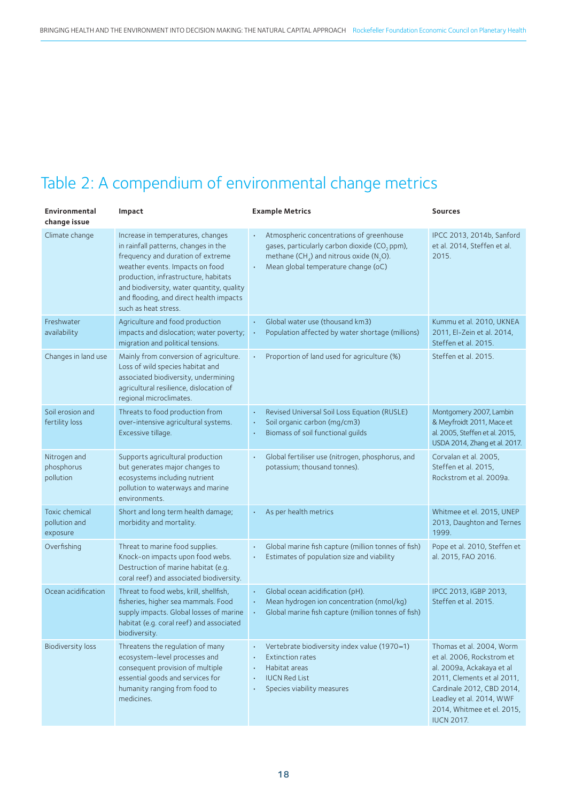### Table 2: A compendium of environmental change metrics

| <b>Environmental</b><br>change issue        | Impact                                                                                                                                                                                                                                                                                                    | <b>Example Metrics</b>                                                                                                                                                                                           | <b>Sources</b>                                                                                                                                                                                                               |
|---------------------------------------------|-----------------------------------------------------------------------------------------------------------------------------------------------------------------------------------------------------------------------------------------------------------------------------------------------------------|------------------------------------------------------------------------------------------------------------------------------------------------------------------------------------------------------------------|------------------------------------------------------------------------------------------------------------------------------------------------------------------------------------------------------------------------------|
| Climate change                              | Increase in temperatures, changes<br>in rainfall patterns, changes in the<br>frequency and duration of extreme<br>weather events. Impacts on food<br>production, infrastructure, habitats<br>and biodiversity, water quantity, quality<br>and flooding, and direct health impacts<br>such as heat stress. | Atmospheric concentrations of greenhouse<br>gases, particularly carbon dioxide (CO <sub>2</sub> ppm),<br>methane (CH <sub>4</sub> ) and nitrous oxide (N <sub>2</sub> O).<br>Mean global temperature change (oC) | IPCC 2013, 2014b, Sanford<br>et al. 2014, Steffen et al.<br>2015.                                                                                                                                                            |
| Freshwater<br>availability                  | Agriculture and food production<br>impacts and dislocation; water poverty;<br>migration and political tensions.                                                                                                                                                                                           | Global water use (thousand km3)<br>$\bullet$<br>Population affected by water shortage (millions)                                                                                                                 | Kummu et al. 2010, UKNEA<br>2011, El-Zein et al. 2014,<br>Steffen et al. 2015.                                                                                                                                               |
| Changes in land use                         | Mainly from conversion of agriculture.<br>Loss of wild species habitat and<br>associated biodiversity, undermining<br>agricultural resilience, dislocation of<br>regional microclimates.                                                                                                                  | Proportion of land used for agriculture (%)                                                                                                                                                                      | Steffen et al. 2015.                                                                                                                                                                                                         |
| Soil erosion and<br>fertility loss          | Threats to food production from<br>over-intensive agricultural systems.<br>Excessive tillage.                                                                                                                                                                                                             | Revised Universal Soil Loss Equation (RUSLE)<br>Soil organic carbon (mg/cm3)<br>Biomass of soil functional guilds                                                                                                | Montgomery 2007, Lambin<br>& Meyfroidt 2011, Mace et<br>al. 2005, Steffen et al. 2015,<br>USDA 2014, Zhang et al. 2017.                                                                                                      |
| Nitrogen and<br>phosphorus<br>pollution     | Supports agricultural production<br>but generates major changes to<br>ecosystems including nutrient<br>pollution to waterways and marine<br>environments.                                                                                                                                                 | Global fertiliser use (nitrogen, phosphorus, and<br>potassium; thousand tonnes).                                                                                                                                 | Corvalan et al. 2005,<br>Steffen et al. 2015,<br>Rockstrom et al. 2009a.                                                                                                                                                     |
| Toxic chemical<br>pollution and<br>exposure | Short and long term health damage;<br>morbidity and mortality.                                                                                                                                                                                                                                            | As per health metrics                                                                                                                                                                                            | Whitmee et el. 2015, UNEP<br>2013, Daughton and Ternes<br>1999.                                                                                                                                                              |
| Overfishing                                 | Threat to marine food supplies.<br>Knock-on impacts upon food webs.<br>Destruction of marine habitat (e.g.<br>coral reef) and associated biodiversity.                                                                                                                                                    | Global marine fish capture (million tonnes of fish)<br>Estimates of population size and viability                                                                                                                | Pope et al. 2010, Steffen et<br>al. 2015, FAO 2016.                                                                                                                                                                          |
| Ocean acidification                         | Threat to food webs, krill, shellfish,<br>fisheries, higher sea mammals. Food<br>supply impacts. Global losses of marine<br>habitat (e.g. coral reef) and associated<br>biodiversity.                                                                                                                     | Global ocean acidification (pH).<br>Mean hydrogen ion concentration (nmol/kg)<br>Global marine fish capture (million tonnes of fish)                                                                             | IPCC 2013, IGBP 2013,<br>Steffen et al. 2015.                                                                                                                                                                                |
| <b>Biodiversity loss</b>                    | Threatens the regulation of many<br>ecosystem-level processes and<br>consequent provision of multiple<br>essential goods and services for<br>humanity ranging from food to<br>medicines.                                                                                                                  | Vertebrate biodiversity index value (1970=1)<br><b>Extinction rates</b><br>Habitat areas<br><b>IUCN Red List</b><br>Species viability measures                                                                   | Thomas et al. 2004, Worm<br>et al. 2006, Rockstrom et<br>al. 2009a, Ackakaya et al<br>2011, Clements et al 2011,<br>Cardinale 2012, CBD 2014,<br>Leadley et al. 2014, WWF<br>2014, Whitmee et el. 2015,<br><b>IUCN 2017.</b> |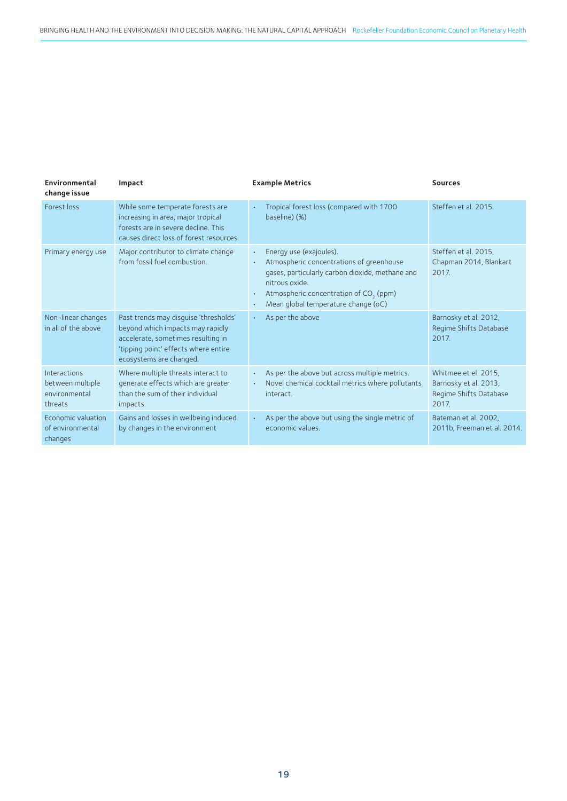| Environmental<br>change issue                                | Impact                                                                                                                                                                             | <b>Example Metrics</b>                                                                                                                                                                                                                | <b>Sources</b>                                                                   |
|--------------------------------------------------------------|------------------------------------------------------------------------------------------------------------------------------------------------------------------------------------|---------------------------------------------------------------------------------------------------------------------------------------------------------------------------------------------------------------------------------------|----------------------------------------------------------------------------------|
| Forest loss                                                  | While some temperate forests are<br>increasing in area, major tropical<br>forests are in severe decline. This<br>causes direct loss of forest resources                            | Tropical forest loss (compared with 1700<br>baseline) (%)                                                                                                                                                                             | Steffen et al. 2015.                                                             |
| Primary energy use                                           | Major contributor to climate change<br>from fossil fuel combustion.                                                                                                                | Energy use (exajoules).<br>Atmospheric concentrations of greenhouse<br>gases, particularly carbon dioxide, methane and<br>nitrous oxide.<br>Atmospheric concentration of CO <sub>2</sub> (ppm)<br>Mean global temperature change (oC) | Steffen et al. 2015,<br>Chapman 2014, Blankart<br>2017.                          |
| Non-linear changes<br>in all of the above                    | Past trends may disguise 'thresholds'<br>beyond which impacts may rapidly<br>accelerate, sometimes resulting in<br>'tipping point' effects where entire<br>ecosystems are changed. | As per the above                                                                                                                                                                                                                      | Barnosky et al. 2012,<br>Regime Shifts Database<br>2017.                         |
| Interactions<br>between multiple<br>environmental<br>threats | Where multiple threats interact to<br>generate effects which are greater<br>than the sum of their individual<br>impacts.                                                           | As per the above but across multiple metrics.<br>Novel chemical cocktail metrics where pollutants<br>interact.                                                                                                                        | Whitmee et el. 2015,<br>Barnosky et al. 2013,<br>Regime Shifts Database<br>2017. |
| Economic valuation<br>of environmental<br>changes            | Gains and losses in wellbeing induced<br>by changes in the environment                                                                                                             | As per the above but using the single metric of<br>economic values.                                                                                                                                                                   | Bateman et al. 2002,<br>2011b, Freeman et al. 2014.                              |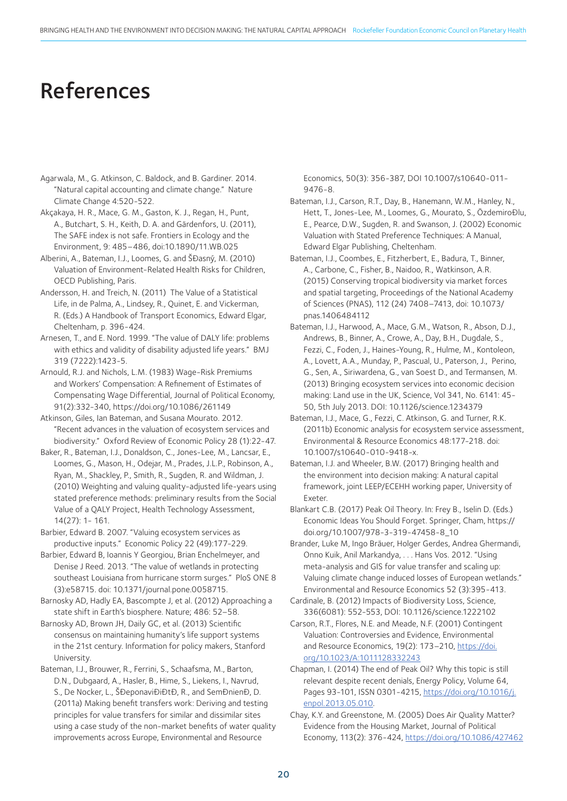### References

- Agarwala, M., G. Atkinson, C. Baldock, and B. Gardiner. 2014. "Natural capital accounting and climate change." Nature Climate Change 4:520-522.
- Akçakaya, H. R., Mace, G. M., Gaston, K. J., Regan, H., Punt, A., Butchart, S. H., Keith, D. A. and Gärdenfors, U. (2011), The SAFE index is not safe. Frontiers in Ecology and the Environment, 9: 485–486, doi:10.1890/11.WB.025
- Alberini, A., Bateman, I.J., Loomes, G. and ŠĐasný, M. (2010) Valuation of Environment-Related Health Risks for Children, OECD Publishing, Paris.
- Andersson, H. and Treich, N. (2011) The Value of a Statistical Life, in de Palma, A., Lindsey, R., Quinet, E. and Vickerman, R. (Eds.) A Handbook of Transport Economics, Edward Elgar, Cheltenham, p. 396-424.
- Arnesen, T., and E. Nord. 1999. "The value of DALY life: problems with ethics and validity of disability adjusted life years." BMJ 319 (7222):1423-5.
- Arnould, R.J. and Nichols, L.M. (1983) Wage-Risk Premiums and Workers' Compensation: A Refinement of Estimates of Compensating Wage Differential, Journal of Political Economy, 91(2):332-340, https://doi.org/10.1086/261149
- Atkinson, Giles, Ian Bateman, and Susana Mourato. 2012. "Recent advances in the valuation of ecosystem services and biodiversity." Oxford Review of Economic Policy 28 (1):22-47.
- Baker, R., Bateman, I.J., Donaldson, C., Jones-Lee, M., Lancsar, E., Loomes, G., Mason, H., Odejar, M., Prades, J.L.P., Robinson, A., Ryan, M., Shackley, P., Smith, R., Sugden, R. and Wildman, J. (2010) Weighting and valuing quality-adjusted life-years using stated preference methods: preliminary results from the Social Value of a QALY Project, Health Technology Assessment, 14(27): 1- 161.
- Barbier, Edward B. 2007. "Valuing ecosystem services as productive inputs." Economic Policy 22 (49):177-229.
- Barbier, Edward B, Ioannis Y Georgiou, Brian Enchelmeyer, and Denise J Reed. 2013. "The value of wetlands in protecting southeast Louisiana from hurricane storm surges." PloS ONE 8 (3):e58715. doi: 10.1371/journal.pone.0058715.
- Barnosky AD, Hadly EA, Bascompte J, et al. (2012) Approaching a state shift in Earth's biosphere. Nature; 486: 52–58.
- Barnosky AD, Brown JH, Daily GC, et al. (2013) Scientific consensus on maintaining humanity's life support systems in the 21st century. Information for policy makers, Stanford University.
- Bateman, I.J., Brouwer, R., Ferrini, S., Schaafsma, M., Barton, D.N., Dubgaard, A., Hasler, B., Hime, S., Liekens, I., Navrud, S., De Nocker, L., ŠĐeponaviĐiĐtĐ, R., and SemĐnienĐ, D. (2011a) Making benefit transfers work: Deriving and testing principles for value transfers for similar and dissimilar sites using a case study of the non-market benefits of water quality improvements across Europe, Environmental and Resource

Economics, 50(3): 356-387, DOI 10.1007/s10640-011- 9476-8.

- Bateman, I.J., Carson, R.T., Day, B., Hanemann, W.M., Hanley, N., Hett, T., Jones-Lee, M., Loomes, G., Mourato, S., ÖzdemiroĐlu, E., Pearce, D.W., Sugden, R. and Swanson, J. (2002) Economic Valuation with Stated Preference Techniques: A Manual, Edward Elgar Publishing, Cheltenham.
- Bateman, I.J., Coombes, E., Fitzherbert, E., Badura, T., Binner, A., Carbone, C., Fisher, B., Naidoo, R., Watkinson, A.R. (2015) Conserving tropical biodiversity via market forces and spatial targeting, Proceedings of the National Academy of Sciences (PNAS), 112 (24) 7408–7413, doi: 10.1073/ pnas.1406484112
- Bateman, I.J., Harwood, A., Mace, G.M., Watson, R., Abson, D.J., Andrews, B., Binner, A., Crowe, A., Day, B.H., Dugdale, S., Fezzi, C., Foden, J., Haines-Young, R., Hulme, M., Kontoleon, A., Lovett, A.A., Munday, P., Pascual, U., Paterson, J., Perino, G., Sen, A., Siriwardena, G., van Soest D., and Termansen, M. (2013) Bringing ecosystem services into economic decision making: Land use in the UK, Science, Vol 341, No. 6141: 45- 50, 5th July 2013. DOI: 10.1126/science.1234379
- Bateman, I.J., Mace, G., Fezzi, C. Atkinson, G. and Turner, R.K. (2011b) Economic analysis for ecosystem service assessment, Environmental & Resource Economics 48:177-218. doi: 10.1007/s10640-010-9418-x.
- Bateman, I.J. and Wheeler, B.W. (2017) Bringing health and the environment into decision making: A natural capital framework, joint LEEP/ECEHH working paper, University of Exeter.
- Blankart C.B. (2017) Peak Oil Theory. In: Frey B., Iselin D. (Eds.) Economic Ideas You Should Forget. Springer, Cham, https:// doi.org/10.1007/978-3-319-47458-8\_10
- Brander, Luke M, Ingo Bräuer, Holger Gerdes, Andrea Ghermandi, Onno Kuik, Anil Markandya, . . . Hans Vos. 2012. "Using meta-analysis and GIS for value transfer and scaling up: Valuing climate change induced losses of European wetlands." Environmental and Resource Economics 52 (3):395-413.
- Cardinale, B. (2012) Impacts of Biodiversity Loss, Science, 336(6081): 552-553, DOI: 10.1126/science.1222102
- Carson, R.T., Flores, N.E. and Meade, N.F. (2001) Contingent Valuation: Controversies and Evidence, Environmental and Resource Economics, 19(2): 173–210, https://doi. org/10.1023/A:1011128332243
- Chapman, I. (2014) The end of Peak Oil? Why this topic is still relevant despite recent denials, Energy Policy, Volume 64, Pages 93-101, ISSN 0301-4215, https://doi.org/10.1016/j. enpol.2013.05.010.
- Chay, K.Y. and Greenstone, M. (2005) Does Air Quality Matter? Evidence from the Housing Market, Journal of Political Economy, 113(2): 376-424, https://doi.org/10.1086/427462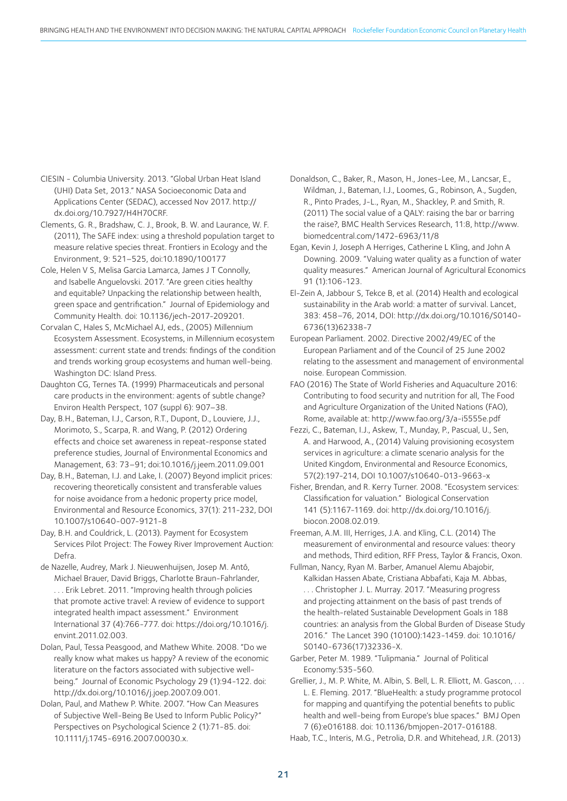CIESIN - Columbia University. 2013. "Global Urban Heat Island (UHI) Data Set, 2013." NASA Socioeconomic Data and Applications Center (SEDAC), accessed Nov 2017. http:// dx.doi.org/10.7927/H4H70CRF.

Clements, G. R., Bradshaw, C. J., Brook, B. W. and Laurance, W. F. (2011), The SAFE index: using a threshold population target to measure relative species threat. Frontiers in Ecology and the Environment, 9: 521–525, doi:10.1890/100177

Cole, Helen V S, Melisa Garcia Lamarca, James J T Connolly, and Isabelle Anguelovski. 2017. "Are green cities healthy and equitable? Unpacking the relationship between health, green space and gentrification." Journal of Epidemiology and Community Health. doi: 10.1136/jech-2017-209201.

Corvalan C, Hales S, McMichael AJ, eds., (2005) Millennium Ecosystem Assessment. Ecosystems, in Millennium ecosystem assessment: current state and trends: findings of the condition and trends working group ecosystems and human well-being. Washington DC: Island Press.

Daughton CG, Ternes TA. (1999) Pharmaceuticals and personal care products in the environment: agents of subtle change? Environ Health Perspect, 107 (suppl 6): 907–38.

Day, B.H., Bateman, I.J., Carson, R.T., Dupont, D., Louviere, J.J., Morimoto, S., Scarpa, R. and Wang, P. (2012) Ordering effects and choice set awareness in repeat-response stated preference studies, Journal of Environmental Economics and Management, 63: 73–91; doi:10.1016/j.jeem.2011.09.001

Day, B.H., Bateman, I.J. and Lake, I. (2007) Beyond implicit prices: recovering theoretically consistent and transferable values for noise avoidance from a hedonic property price model, Environmental and Resource Economics, 37(1): 211-232, DOI 10.1007/s10640-007-9121-8

Day, B.H. and Couldrick, L. (2013). Payment for Ecosystem Services Pilot Project: The Fowey River Improvement Auction: Defra.

de Nazelle, Audrey, Mark J. Nieuwenhuijsen, Josep M. Antó, Michael Brauer, David Briggs, Charlotte Braun-Fahrlander, . . . Erik Lebret. 2011. "Improving health through policies that promote active travel: A review of evidence to support integrated health impact assessment." Environment International 37 (4):766-777. doi: https://doi.org/10.1016/j. envint.2011.02.003.

Dolan, Paul, Tessa Peasgood, and Mathew White. 2008. "Do we really know what makes us happy? A review of the economic literature on the factors associated with subjective wellbeing." Journal of Economic Psychology 29 (1):94-122. doi: http://dx.doi.org/10.1016/j.joep.2007.09.001.

Dolan, Paul, and Mathew P. White. 2007. "How Can Measures of Subjective Well-Being Be Used to Inform Public Policy?" Perspectives on Psychological Science 2 (1):71-85. doi: 10.1111/j.1745-6916.2007.00030.x.

Donaldson, C., Baker, R., Mason, H., Jones-Lee, M., Lancsar, E., Wildman, J., Bateman, I.J., Loomes, G., Robinson, A., Sugden, R., Pinto Prades, J-L., Ryan, M., Shackley, P. and Smith, R. (2011) The social value of a QALY: raising the bar or barring the raise?, BMC Health Services Research, 11:8, http://www. biomedcentral.com/1472-6963/11/8

Egan, Kevin J, Joseph A Herriges, Catherine L Kling, and John A Downing. 2009. "Valuing water quality as a function of water quality measures." American Journal of Agricultural Economics 91 (1):106-123.

El-Zein A, Jabbour S, Tekce B, et al. (2014) Health and ecological sustainability in the Arab world: a matter of survival. Lancet, 383: 458–76, 2014, DOI: http://dx.doi.org/10.1016/S0140- 6736(13)62338-7

European Parliament. 2002. Directive 2002/49/EC of the European Parliament and of the Council of 25 June 2002 relating to the assessment and management of environmental noise. European Commission.

FAO (2016) The State of World Fisheries and Aquaculture 2016: Contributing to food security and nutrition for all, The Food and Agriculture Organization of the United Nations (FAO), Rome, available at: http://www.fao.org/3/a-i5555e.pdf

Fezzi, C., Bateman, I.J., Askew, T., Munday, P., Pascual, U., Sen, A. and Harwood, A., (2014) Valuing provisioning ecosystem services in agriculture: a climate scenario analysis for the United Kingdom, Environmental and Resource Economics, 57(2):197-214, DOI 10.1007/s10640-013-9663-x

Fisher, Brendan, and R. Kerry Turner. 2008. "Ecosystem services: Classification for valuation." Biological Conservation 141 (5):1167-1169. doi: http://dx.doi.org/10.1016/j. biocon.2008.02.019.

Freeman, A.M. III, Herriges, J.A. and Kling, C.L. (2014) The measurement of environmental and resource values: theory and methods, Third edition, RFF Press, Taylor & Francis, Oxon.

Fullman, Nancy, Ryan M. Barber, Amanuel Alemu Abajobir, Kalkidan Hassen Abate, Cristiana Abbafati, Kaja M. Abbas, . . . Christopher J. L. Murray. 2017. "Measuring progress and projecting attainment on the basis of past trends of the health-related Sustainable Development Goals in 188 countries: an analysis from the Global Burden of Disease Study 2016." The Lancet 390 (10100):1423-1459. doi: 10.1016/ S0140-6736(17)32336-X.

Garber, Peter M. 1989. "Tulipmania." Journal of Political Economy:535-560.

Grellier, J., M. P. White, M. Albin, S. Bell, L. R. Elliott, M. Gascon, . . . L. E. Fleming. 2017. "BlueHealth: a study programme protocol for mapping and quantifying the potential benefits to public health and well-being from Europe's blue spaces." BMJ Open 7 (6):e016188. doi: 10.1136/bmjopen-2017-016188.

Haab, T.C., Interis, M.G., Petrolia, D.R. and Whitehead, J.R. (2013)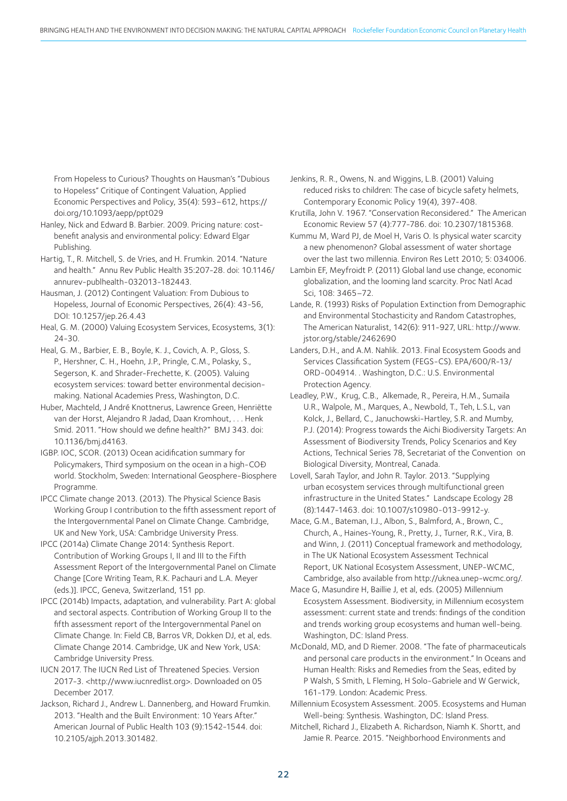From Hopeless to Curious? Thoughts on Hausman's "Dubious to Hopeless" Critique of Contingent Valuation, Applied Economic Perspectives and Policy, 35(4): 593–612, https:// doi.org/10.1093/aepp/ppt029

Hanley, Nick and Edward B. Barbier. 2009. Pricing nature: costbenefit analysis and environmental policy: Edward Elgar Publishing.

Hartig, T., R. Mitchell, S. de Vries, and H. Frumkin. 2014. "Nature and health." Annu Rev Public Health 35:207-28. doi: 10.1146/ annurev-publhealth-032013-182443.

Hausman, J. (2012) Contingent Valuation: From Dubious to Hopeless, Journal of Economic Perspectives, 26(4): 43-56, DOI: 10.1257/jep.26.4.43

Heal, G. M. (2000) Valuing Ecosystem Services, Ecosystems, 3(1): 24-30.

Heal, G. M., Barbier, E. B., Boyle, K. J., Covich, A. P., Gloss, S. P., Hershner, C. H., Hoehn, J.P., Pringle, C.M., Polasky, S., Segerson, K. and Shrader-Frechette, K. (2005). Valuing ecosystem services: toward better environmental decisionmaking. National Academies Press, Washington, D.C.

Huber, Machteld, J André Knottnerus, Lawrence Green, Henriëtte van der Horst, Alejandro R Jadad, Daan Kromhout, . . . Henk Smid. 2011. "How should we define health?" BMJ 343. doi: 10.1136/bmj.d4163.

IGBP. IOC, SCOR. (2013) Ocean acidification summary for Policymakers, Third symposium on the ocean in a high-COĐ world. Stockholm, Sweden: International Geosphere-Biosphere Programme.

IPCC Climate change 2013. (2013). The Physical Science Basis Working Group I contribution to the fifth assessment report of the Intergovernmental Panel on Climate Change. Cambridge, UK and New York, USA: Cambridge University Press.

IPCC (2014a) Climate Change 2014: Synthesis Report. Contribution of Working Groups I, II and III to the Fifth Assessment Report of the Intergovernmental Panel on Climate Change [Core Writing Team, R.K. Pachauri and L.A. Meyer (eds.)]. IPCC, Geneva, Switzerland, 151 pp.

IPCC (2014b) Impacts, adaptation, and vulnerability. Part A: global and sectoral aspects. Contribution of Working Group II to the fifth assessment report of the Intergovernmental Panel on Climate Change. In: Field CB, Barros VR, Dokken DJ, et al, eds. Climate Change 2014. Cambridge, UK and New York, USA: Cambridge University Press.

IUCN 2017. The IUCN Red List of Threatened Species. Version 2017-3. <http://www.iucnredlist.org>. Downloaded on 05 December 2017.

Jackson, Richard J., Andrew L. Dannenberg, and Howard Frumkin. 2013. "Health and the Built Environment: 10 Years After." American Journal of Public Health 103 (9):1542-1544. doi: 10.2105/ajph.2013.301482.

Jenkins, R. R., Owens, N. and Wiggins, L.B. (2001) Valuing reduced risks to children: The case of bicycle safety helmets, Contemporary Economic Policy 19(4), 397-408.

Krutilla, John V. 1967. "Conservation Reconsidered." The American Economic Review 57 (4):777-786. doi: 10.2307/1815368.

Kummu M, Ward PJ, de Moel H, Varis O. Is physical water scarcity a new phenomenon? Global assessment of water shortage over the last two millennia. Environ Res Lett 2010; 5: 034006.

Lambin EF, Meyfroidt P. (2011) Global land use change, economic globalization, and the looming land scarcity. Proc Natl Acad Sci, 108: 3465–72.

Lande, R. (1993) Risks of Population Extinction from Demographic and Environmental Stochasticity and Random Catastrophes, The American Naturalist, 142(6): 911-927, URL: http://www. jstor.org/stable/2462690

Landers, D.H., and A.M. Nahlik. 2013. Final Ecosystem Goods and Services Classification System (FEGS-CS). EPA/600/R-13/ ORD-004914. . Washington, D.C.: U.S. Environmental Protection Agency.

Leadley, P.W., Krug, C.B., Alkemade, R., Pereira, H.M., Sumaila U.R., Walpole, M., Marques, A., Newbold, T., Teh, L.S.L, van Kolck, J., Bellard, C., Januchowski-Hartley, S.R. and Mumby, P.J. (2014): Progress towards the Aichi Biodiversity Targets: An Assessment of Biodiversity Trends, Policy Scenarios and Key Actions, Technical Series 78, Secretariat of the Convention on Biological Diversity, Montreal, Canada.

Lovell, Sarah Taylor, and John R. Taylor. 2013. "Supplying urban ecosystem services through multifunctional green infrastructure in the United States." Landscape Ecology 28 (8):1447-1463. doi: 10.1007/s10980-013-9912-y.

Mace, G.M., Bateman, I.J., Albon, S., Balmford, A., Brown, C., Church, A., Haines-Young, R., Pretty, J., Turner, R.K., Vira, B. and Winn, J. (2011) Conceptual framework and methodology, in The UK National Ecosystem Assessment Technical Report, UK National Ecosystem Assessment, UNEP-WCMC, Cambridge, also available from http://uknea.unep-wcmc.org/.

Mace G, Masundire H, Baillie J, et al, eds. (2005) Millennium Ecosystem Assessment. Biodiversity, in Millennium ecosystem assessment: current state and trends: findings of the condition and trends working group ecosystems and human well-being. Washington, DC: Island Press.

McDonald, MD, and D Riemer. 2008. "The fate of pharmaceuticals and personal care products in the environment." In Oceans and Human Health: Risks and Remedies from the Seas, edited by P Walsh, S Smith, L Fleming, H Solo-Gabriele and W Gerwick, 161-179. London: Academic Press.

Millennium Ecosystem Assessment. 2005. Ecosystems and Human Well-being: Synthesis. Washington, DC: Island Press.

Mitchell, Richard J., Elizabeth A. Richardson, Niamh K. Shortt, and Jamie R. Pearce. 2015. "Neighborhood Environments and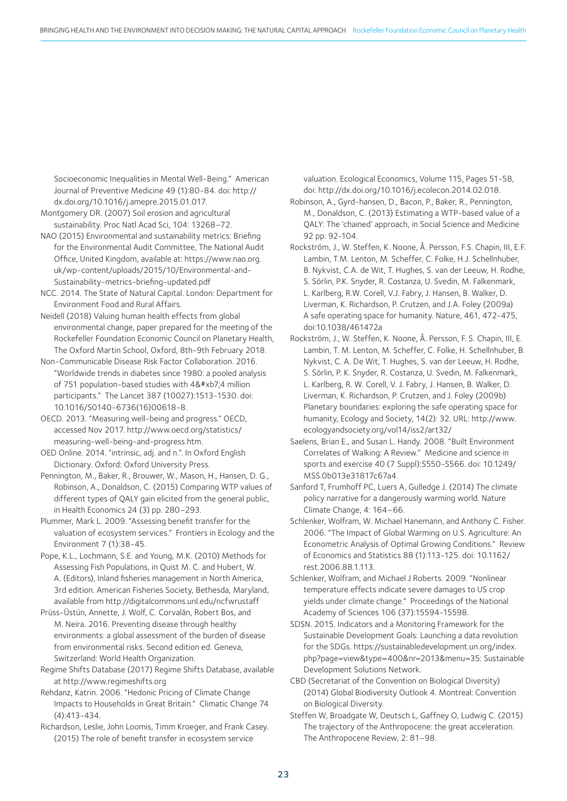Socioeconomic Inequalities in Mental Well-Being." American Journal of Preventive Medicine 49 (1):80-84. doi: http:// dx.doi.org/10.1016/j.amepre.2015.01.017.

- Montgomery DR. (2007) Soil erosion and agricultural sustainability. Proc Natl Acad Sci, 104: 13268–72.
- NAO (2015) Environmental and sustainability metrics: Briefing for the Environmental Audit Committee, The National Audit Office, United Kingdom, available at: https://www.nao.org. uk/wp-content/uploads/2015/10/Environmental-and-Sustainability-metrics-briefing-updated.pdf
- NCC. 2014. The State of Natural Capital. London: Department for Environment Food and Rural Affairs.
- Neidell (2018) Valuing human health effects from global environmental change, paper prepared for the meeting of the Rockefeller Foundation Economic Council on Planetary Health, The Oxford Martin School, Oxford, 8th-9th February 2018.
- Non-Communicable Disease Risk Factor Collaboration. 2016. "Worldwide trends in diabetes since 1980: a pooled analysis of 751 population-based studies with  $4·4$  million participants." The Lancet 387 (10027):1513-1530. doi: 10.1016/S0140-6736(16)00618-8.
- OECD. 2013. "Measuring well-being and progress." OECD, accessed Nov 2017. http://www.oecd.org/statistics/ measuring-well-being-and-progress.htm.
- OED Online. 2014. "intrinsic, adj. and n.". In Oxford English Dictionary. Oxford: Oxford University Press.
- Pennington, M., Baker, R., Brouwer, W., Mason, H., Hansen, D. G., Robinson, A., Donaldson, C. (2015) Comparing WTP values of different types of QALY gain elicited from the general public, in Health Economics 24 (3) pp. 280–293.
- Plummer, Mark L. 2009. "Assessing benefit transfer for the valuation of ecosystem services." Frontiers in Ecology and the Environment 7 (1):38-45.
- Pope, K.L., Lochmann, S.E. and Young, M.K. (2010) Methods for Assessing Fish Populations, in Quist M. C. and Hubert, W. A. (Editors), Inland fisheries management in North America, 3rd edition. American Fisheries Society, Bethesda, Maryland, available from http://digitalcommons.unl.edu/ncfwrustaff
- Prüss-Üstün, Annette, J. Wolf, C. Corvalán, Robert Bos, and M. Neira. 2016. Preventing disease through healthy environments: a global assessment of the burden of disease from environmental risks. Second edition ed. Geneva, Switzerland: World Health Organization.
- Regime Shifts Database (2017) Regime Shifts Database, available at http://www.regimeshifts.org
- Rehdanz, Katrin. 2006. "Hedonic Pricing of Climate Change Impacts to Households in Great Britain." Climatic Change 74 (4):413-434.
- Richardson, Leslie, John Loomis, Timm Kroeger, and Frank Casey. (2015) The role of benefit transfer in ecosystem service

valuation. Ecological Economics, Volume 115, Pages 51-58, doi: http://dx.doi.org/10.1016/j.ecolecon.2014.02.018.

Robinson, A., Gyrd-hansen, D., Bacon, P., Baker, R., Pennington, M., Donaldson, C. (2013) Estimating a WTP-based value of a QALY: The 'chained' approach, in Social Science and Medicine 92 pp. 92-104.

- Rockström, J., W. Steffen, K. Noone, Å. Persson, F.S. Chapin, III, E.F. Lambin, T.M. Lenton, M. Scheffer, C. Folke, H.J. Schellnhuber, B. Nykvist, C.A. de Wit, T. Hughes, S. van der Leeuw, H. Rodhe, S. Sörlin, P.K. Snyder, R. Costanza, U. Svedin, M. Falkenmark, L. Karlberg, R.W. Corell, V.J. Fabry, J. Hansen, B. Walker, D. Liverman, K. Richardson, P. Crutzen, and J.A. Foley (2009a) A safe operating space for humanity. Nature, 461, 472-475, doi:10.1038/461472a
- Rockström, J., W. Steffen, K. Noone, Å. Persson, F. S. Chapin, III, E. Lambin, T. M. Lenton, M. Scheffer, C. Folke, H. Schellnhuber, B. Nykvist, C. A. De Wit, T. Hughes, S. van der Leeuw, H. Rodhe, S. Sörlin, P. K. Snyder, R. Costanza, U. Svedin, M. Falkenmark, L. Karlberg, R. W. Corell, V. J. Fabry, J. Hansen, B. Walker, D. Liverman, K. Richardson, P. Crutzen, and J. Foley (2009b) Planetary boundaries: exploring the safe operating space for humanity, Ecology and Society, 14(2): 32. URL: http://www. ecologyandsociety.org/vol14/iss2/art32/
- Saelens, Brian E., and Susan L. Handy. 2008. "Built Environment Correlates of Walking: A Review." Medicine and science in sports and exercise 40 (7 Suppl):S550-S566. doi: 10.1249/ MSS.0b013e31817c67a4.

Sanford T, Frumhoff PC, Luers A, Gulledge J. (2014) The climate policy narrative for a dangerously warming world. Nature Climate Change, 4: 164–66.

- Schlenker, Wolfram, W. Michael Hanemann, and Anthony C. Fisher. 2006. "The Impact of Global Warming on U.S. Agriculture: An Econometric Analysis of Optimal Growing Conditions." Review of Economics and Statistics 88 (1):113-125. doi: 10.1162/ rest.2006.88.1.113.
- Schlenker, Wolfram, and Michael J Roberts. 2009. "Nonlinear temperature effects indicate severe damages to US crop yields under climate change." Proceedings of the National Academy of Sciences 106 (37):15594-15598.
- SDSN. 2015. Indicators and a Monitoring Framework for the Sustainable Development Goals: Launching a data revolution for the SDGs. https://sustainabledevelopment.un.org/index. php?page=view&type=400&nr=2013&menu=35: Sustainable Development Solutions Network.
- CBD (Secretariat of the Convention on Biological Diversity) (2014) Global Biodiversity Outlook 4. Montreal: Convention on Biological Diversity.
- Steffen W, Broadgate W, Deutsch L, Gaffney O, Ludwig C. (2015) The trajectory of the Anthropocene: the great acceleration. The Anthropocene Review, 2: 81–98.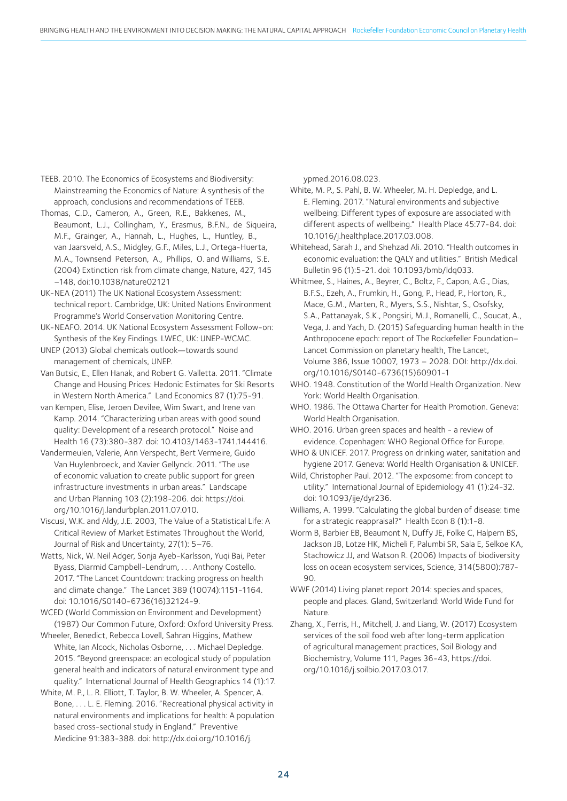TEEB. 2010. The Economics of Ecosystems and Biodiversity: Mainstreaming the Economics of Nature: A synthesis of the approach, conclusions and recommendations of TEEB.

Thomas, C.D., Cameron, A., Green, R.E., Bakkenes, M., Beaumont, L.J., Collingham, Y., Erasmus, B.F.N., de Siqueira, M.F., Grainger, A., Hannah, L., Hughes, L., Huntley, B., van Jaarsveld, A.S., Midgley, G.F., Miles, L.J., Ortega-Huerta, M.A., Townsend Peterson, A., Phillips, O. and Williams, S.E. (2004) Extinction risk from climate change, Nature, 427, 145 –148, doi:10.1038/nature02121

UK-NEA (2011) The UK National Ecosystem Assessment: technical report. Cambridge, UK: United Nations Environment Programme's World Conservation Monitoring Centre.

UK-NEAFO. 2014. UK National Ecosystem Assessment Follow-on: Synthesis of the Key Findings. LWEC, UK: UNEP-WCMC.

UNEP (2013) Global chemicals outlook—towards sound management of chemicals, UNEP.

Van Butsic, E., Ellen Hanak, and Robert G. Valletta. 2011. "Climate Change and Housing Prices: Hedonic Estimates for Ski Resorts in Western North America." Land Economics 87 (1):75-91.

van Kempen, Elise, Jeroen Devilee, Wim Swart, and Irene van Kamp. 2014. "Characterizing urban areas with good sound quality: Development of a research protocol." Noise and Health 16 (73):380-387. doi: 10.4103/1463-1741.144416.

Vandermeulen, Valerie, Ann Verspecht, Bert Vermeire, Guido Van Huylenbroeck, and Xavier Gellynck. 2011. "The use of economic valuation to create public support for green infrastructure investments in urban areas." Landscape and Urban Planning 103 (2):198-206. doi: https://doi. org/10.1016/j.landurbplan.2011.07.010.

Viscusi, W.K. and Aldy, J.E. 2003, The Value of a Statistical Life: A Critical Review of Market Estimates Throughout the World, Journal of Risk and Uncertainty, 27(1): 5–76.

Watts, Nick, W. Neil Adger, Sonja Ayeb-Karlsson, Yuqi Bai, Peter Byass, Diarmid Campbell-Lendrum, . . . Anthony Costello. 2017. "The Lancet Countdown: tracking progress on health and climate change." The Lancet 389 (10074):1151-1164. doi: 10.1016/S0140-6736(16)32124-9.

WCED (World Commission on Environment and Development) (1987) Our Common Future, Oxford: Oxford University Press.

Wheeler, Benedict, Rebecca Lovell, Sahran Higgins, Mathew White, Ian Alcock, Nicholas Osborne, . . . Michael Depledge. 2015. "Beyond greenspace: an ecological study of population general health and indicators of natural environment type and quality." International Journal of Health Geographics 14 (1):17.

White, M. P., L. R. Elliott, T. Taylor, B. W. Wheeler, A. Spencer, A. Bone, . . . L. E. Fleming. 2016. "Recreational physical activity in natural environments and implications for health: A population based cross-sectional study in England." Preventive Medicine 91:383-388. doi: http://dx.doi.org/10.1016/j.

ypmed.2016.08.023.

White, M. P., S. Pahl, B. W. Wheeler, M. H. Depledge, and L. E. Fleming. 2017. "Natural environments and subjective wellbeing: Different types of exposure are associated with different aspects of wellbeing." Health Place 45:77-84. doi: 10.1016/j.healthplace.2017.03.008.

Whitehead, Sarah J., and Shehzad Ali. 2010. "Health outcomes in economic evaluation: the QALY and utilities." British Medical Bulletin 96 (1):5-21. doi: 10.1093/bmb/ldq033.

Whitmee, S., Haines, A., Beyrer, C., Boltz, F., Capon, A.G., Dias, B.F.S., Ezeh, A., Frumkin, H., Gong, P., Head, P., Horton, R., Mace, G.M., Marten, R., Myers, S.S., Nishtar, S., Osofsky, S.A., Pattanayak, S.K., Pongsiri, M.J., Romanelli, C., Soucat, A., Vega, J. and Yach, D. (2015) Safeguarding human health in the Anthropocene epoch: report of The Rockefeller Foundation– Lancet Commission on planetary health, The Lancet, Volume 386, Issue 10007, 1973 – 2028. DOI: http://dx.doi. org/10.1016/S0140-6736(15)60901-1

WHO. 1948. Constitution of the World Health Organization. New York: World Health Organisation.

WHO. 1986. The Ottawa Charter for Health Promotion. Geneva: World Health Organisation.

WHO. 2016. Urban green spaces and health - a review of evidence. Copenhagen: WHO Regional Office for Europe.

WHO & UNICEF. 2017. Progress on drinking water, sanitation and hygiene 2017. Geneva: World Health Organisation & UNICEF.

Wild, Christopher Paul. 2012. "The exposome: from concept to utility." International Journal of Epidemiology 41 (1):24-32. doi: 10.1093/ije/dyr236.

Williams, A. 1999. "Calculating the global burden of disease: time for a strategic reappraisal?" Health Econ 8 (1):1-8.

Worm B, Barbier EB, Beaumont N, Duffy JE, Folke C, Halpern BS, Jackson JB, Lotze HK, Micheli F, Palumbi SR, Sala E, Selkoe KA, Stachowicz JJ, and Watson R. (2006) Impacts of biodiversity loss on ocean ecosystem services, Science, 314(5800):787- 90.

WWF (2014) Living planet report 2014: species and spaces, people and places. Gland, Switzerland: World Wide Fund for Nature.

Zhang, X., Ferris, H., Mitchell, J. and Liang, W. (2017) Ecosystem services of the soil food web after long-term application of agricultural management practices, Soil Biology and Biochemistry, Volume 111, Pages 36-43, https://doi. org/10.1016/j.soilbio.2017.03.017.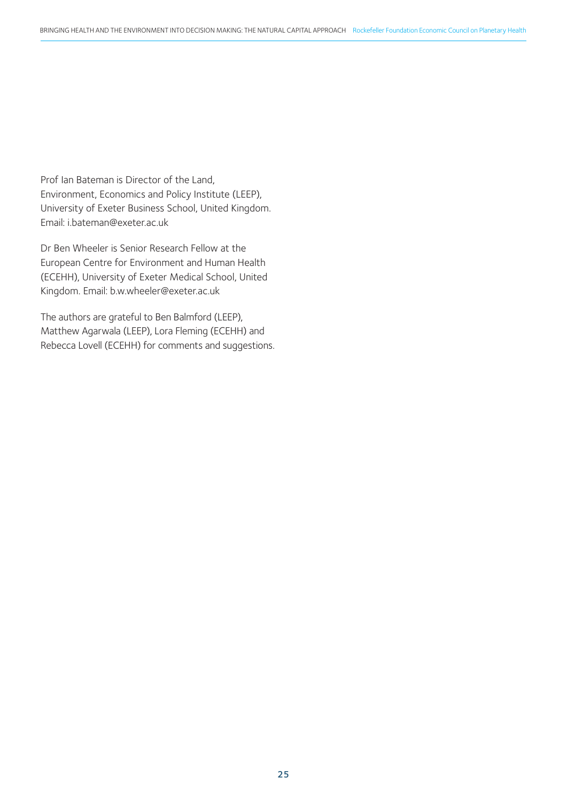Prof Ian Bateman is Director of the Land, Environment, Economics and Policy Institute (LEEP), University of Exeter Business School, United Kingdom. Email: i.bateman@exeter.ac.uk

Dr Ben Wheeler is Senior Research Fellow at the European Centre for Environment and Human Health (ECEHH), University of Exeter Medical School, United Kingdom. Email: b.w.wheeler@exeter.ac.uk

The authors are grateful to Ben Balmford (LEEP), Matthew Agarwala (LEEP), Lora Fleming (ECEHH) and Rebecca Lovell (ECEHH) for comments and suggestions.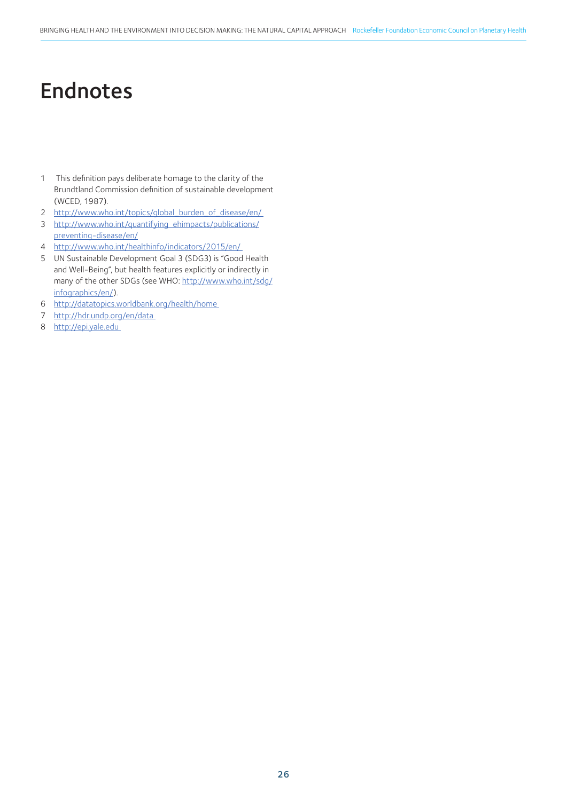### Endnotes

- 1 This definition pays deliberate homage to the clarity of the Brundtland Commission definition of sustainable development (WCED, 1987).
- 2 http://www.who.int/topics/global\_burden\_of\_disease/en/
- 3 http://www.who.int/quantifying\_ehimpacts/publications/ preventing-disease/en/
- 4 http://www.who.int/healthinfo/indicators/2015/en/
- 5 UN Sustainable Development Goal 3 (SDG3) is "Good Health and Well-Being", but health features explicitly or indirectly in many of the other SDGs (see WHO: http://www.who.int/sdg/ infographics/en/).
- 6 http://datatopics.worldbank.org/health/home
- 7 http://hdr.undp.org/en/data
- 8 http://epi.yale.edu